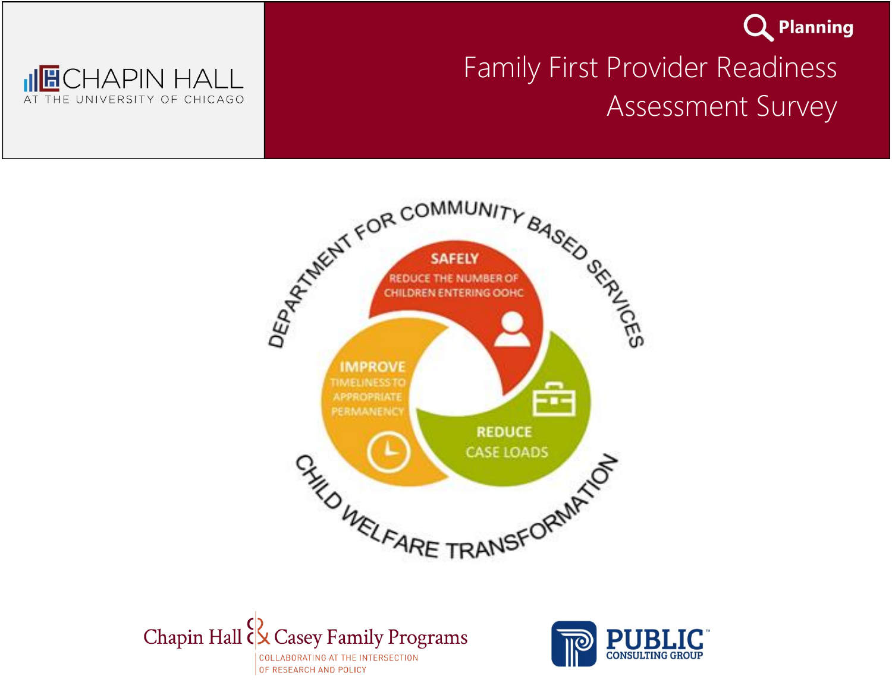

### <sub>II</sub>I<mark>⊞</mark>CHAPIN HALL UNIVERSITY OF CHICAGO THE

# Family First Provider Readiness Assessment Survey





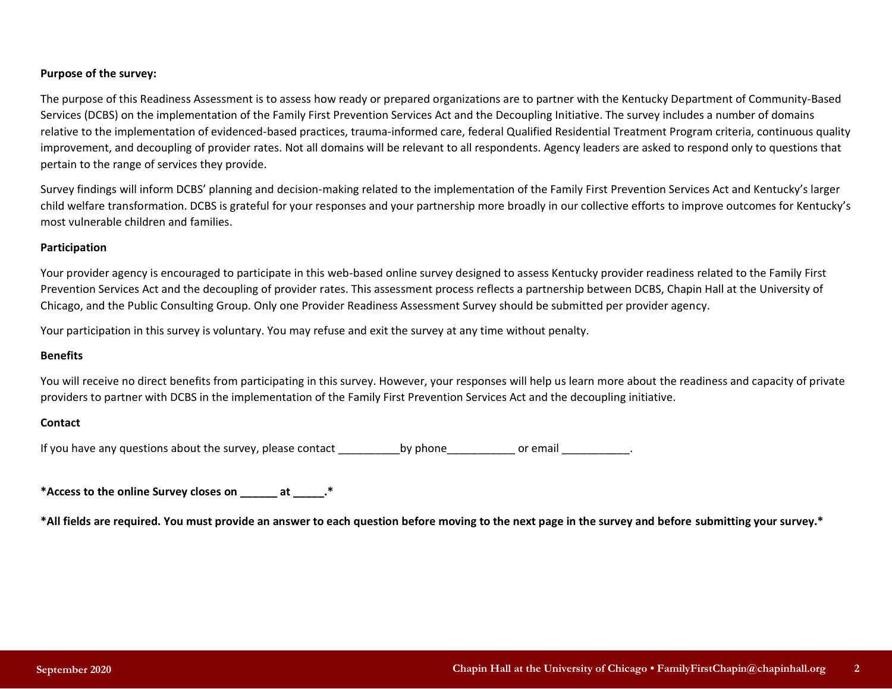### **Purpose of the survey:**

The purpose of this Readiness Assessment is to assess how ready or prepared organizations are to partner with the Kentucky Department of Community-Based Services (DCBS) on the implementation of the Family First Prevention Services Act and the Decoupling Initiative. The survey includes a number of domains relative to the implementation of evidenced-based practices, trauma-informed care, federal Qualified Residential Treatment Program criteria, continuous quality improvement, and decoupling of provider rates. Not all domains will be relevant to all respondents. Agency leaders are asked to respond only to questions that pertain to the range of services they provide.

Survey findings will inform DCBS' planning and decision-making related to the implementation of the Family First Prevention Services Act and Kentucky's larger child welfare transformation. DCBS is grateful for your responses and your partnership more broadly in our collective efforts to improve outcomes for Kentucky's most vulnerable children and families.

### **Participation**

Your provider agency is encouraged to participate in this web-based online survey designed to assess Kentucky provider readiness related to the Family First Prevention Services Act and the decoupling of provider rates. This assessment process reflects a partnership between DCBS, Chapin Hall at the University of Chicago, and the Public Consulting Group. Only one Provider Readiness Assessment Survey should be submitted per provider agency.

Your participation in this survey is voluntary. You may refuse and exit the survey at any time without penalty.

### **Benefits**

You will receive no direct benefits from participating in this survey. However, your responses will help us learn more about the readiness and capacity of private providers to partner with DCBS in the implementation of the Family First Prevention Services Act and the decoupling initiative.

### **Contact**

If you have any questions about the survey, please contact  $\rho$  by phone  $\rho$  or email  $\rho$ 

**\*Access to the online Survey closes on \_\_\_\_\_\_ at \_\_\_\_\_.\*** 

**\*All fields are required. You must provide an answer to each question before moving to the next page in the survey and before submitting your survey.\***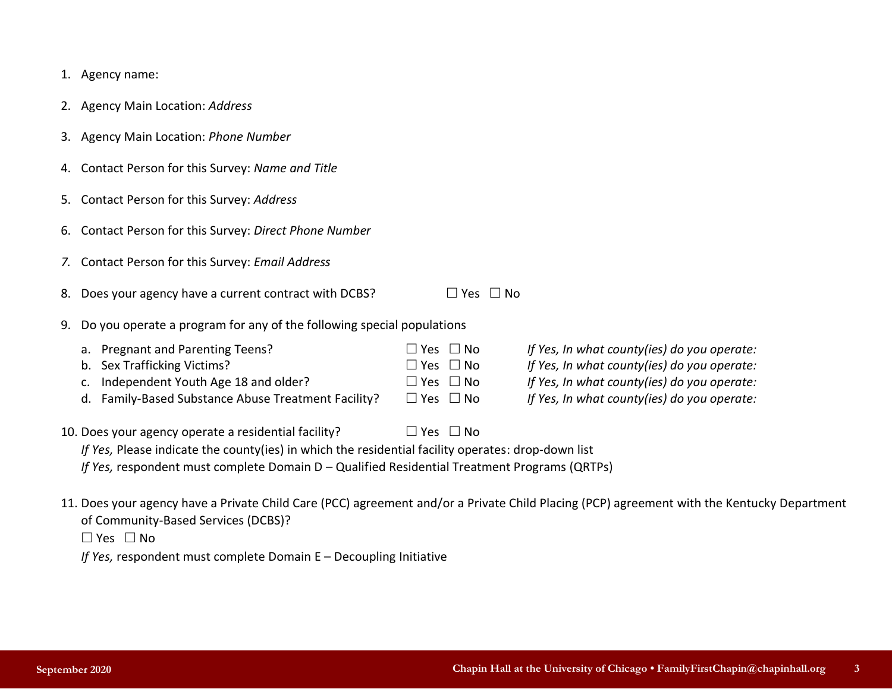|    | 1. Agency name:                                                                                                                                                           |                             |                                                                        |                      |                                                                                                                                                                                          |
|----|---------------------------------------------------------------------------------------------------------------------------------------------------------------------------|-----------------------------|------------------------------------------------------------------------|----------------------|------------------------------------------------------------------------------------------------------------------------------------------------------------------------------------------|
|    | 2. Agency Main Location: Address                                                                                                                                          |                             |                                                                        |                      |                                                                                                                                                                                          |
|    | 3. Agency Main Location: Phone Number                                                                                                                                     |                             |                                                                        |                      |                                                                                                                                                                                          |
| 4. | Contact Person for this Survey: Name and Title                                                                                                                            |                             |                                                                        |                      |                                                                                                                                                                                          |
| 5. | Contact Person for this Survey: Address                                                                                                                                   |                             |                                                                        |                      |                                                                                                                                                                                          |
| 6. | Contact Person for this Survey: Direct Phone Number                                                                                                                       |                             |                                                                        |                      |                                                                                                                                                                                          |
| 7. | Contact Person for this Survey: Email Address                                                                                                                             |                             |                                                                        |                      |                                                                                                                                                                                          |
| 8. | Does your agency have a current contract with DCBS?                                                                                                                       |                             |                                                                        | $\Box$ Yes $\Box$ No |                                                                                                                                                                                          |
| 9. | Do you operate a program for any of the following special populations                                                                                                     |                             |                                                                        |                      |                                                                                                                                                                                          |
|    | a. Pregnant and Parenting Teens?<br>Sex Trafficking Victims?<br>b.<br>Independent Youth Age 18 and older?<br>c.<br>Family-Based Substance Abuse Treatment Facility?<br>d. | $\square$ Yes<br>$\Box$ Yes | $\Box$ No<br>$\Box$ No<br>$\Box$ Yes $\Box$ No<br>$\Box$ Yes $\Box$ No |                      | If Yes, In what county(ies) do you operate:<br>If Yes, In what county(ies) do you operate:<br>If Yes, In what county(ies) do you operate:<br>If Yes, In what county(ies) do you operate: |
|    | 10. Does your agency operate a residential facility?                                                                                                                      |                             | $\Box$ Yes $\Box$ No                                                   |                      |                                                                                                                                                                                          |

*If Yes, Please indicate the county(ies) in which the residential facility operates: drop-down list If Yes,* respondent must complete Domain D – Qualified Residential Treatment Programs (QRTPs)

11. Does your agency have a Private Child Care (PCC) agreement and/or a Private Child Placing (PCP) agreement with the Kentucky Department

of Community-Based Services (DCBS)?

 $\Box$  Yes  $\Box$  No

*If Yes,* respondent must complete Domain E – Decoupling Initiative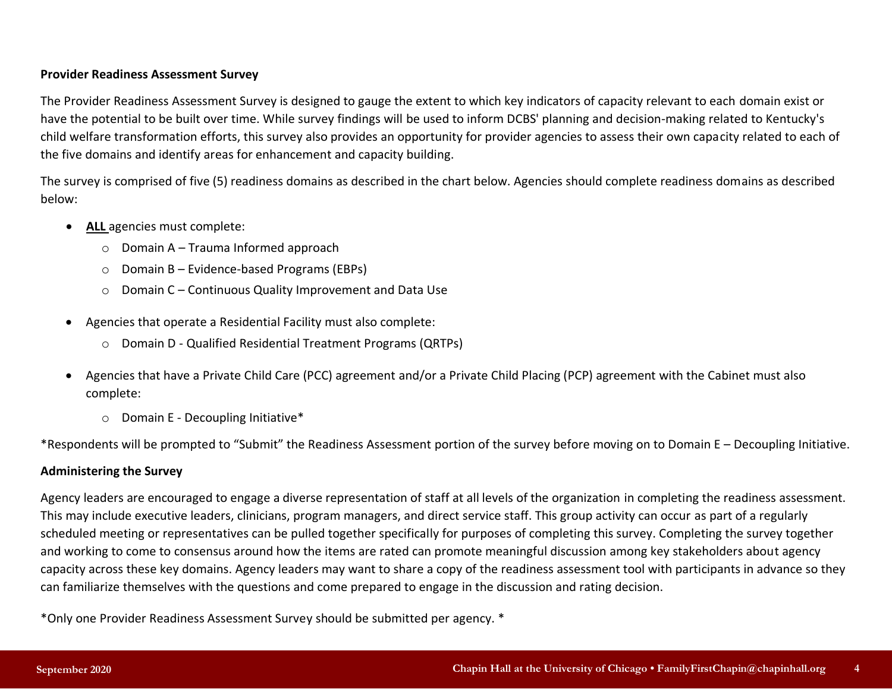### **Provider Readiness Assessment Survey**

The Provider Readiness Assessment Survey is designed to gauge the extent to which key indicators of capacity relevant to each domain exist or have the potential to be built over time. While survey findings will be used to inform DCBS' planning and decision-making related to Kentucky's child welfare transformation efforts, this survey also provides an opportunity for provider agencies to assess their own capacity related to each of the five domains and identify areas for enhancement and capacity building.

The survey is comprised of five (5) readiness domains as described in the chart below. Agencies should complete readiness domains as described below:

- **ALL** agencies must complete:
	- $\circ$  Domain A Trauma Informed approach
	- $\circ$  Domain B Evidence-based Programs (EBPs)
	- o Domain C Continuous Quality Improvement and Data Use
- Agencies that operate a Residential Facility must also complete:
	- o Domain D Qualified Residential Treatment Programs (QRTPs)
- Agencies that have a Private Child Care (PCC) agreement and/or a Private Child Placing (PCP) agreement with the Cabinet must also complete:
	- o Domain E Decoupling Initiative\*

\*Respondents will be prompted to "Submit" the Readiness Assessment portion of the survey before moving on to Domain E – Decoupling Initiative.

### **Administering the Survey**

Agency leaders are encouraged to engage a diverse representation of staff at all levels of the organization in completing the readiness assessment. This may include executive leaders, clinicians, program managers, and direct service staff. This group activity can occur as part of a regularly scheduled meeting or representatives can be pulled together specifically for purposes of completing this survey. Completing the survey together and working to come to consensus around how the items are rated can promote meaningful discussion among key stakeholders about agency capacity across these key domains. Agency leaders may want to share a copy of the readiness assessment tool with participants in advance so they can familiarize themselves with the questions and come prepared to engage in the discussion and rating decision.

\*Only one Provider Readiness Assessment Survey should be submitted per agency. \*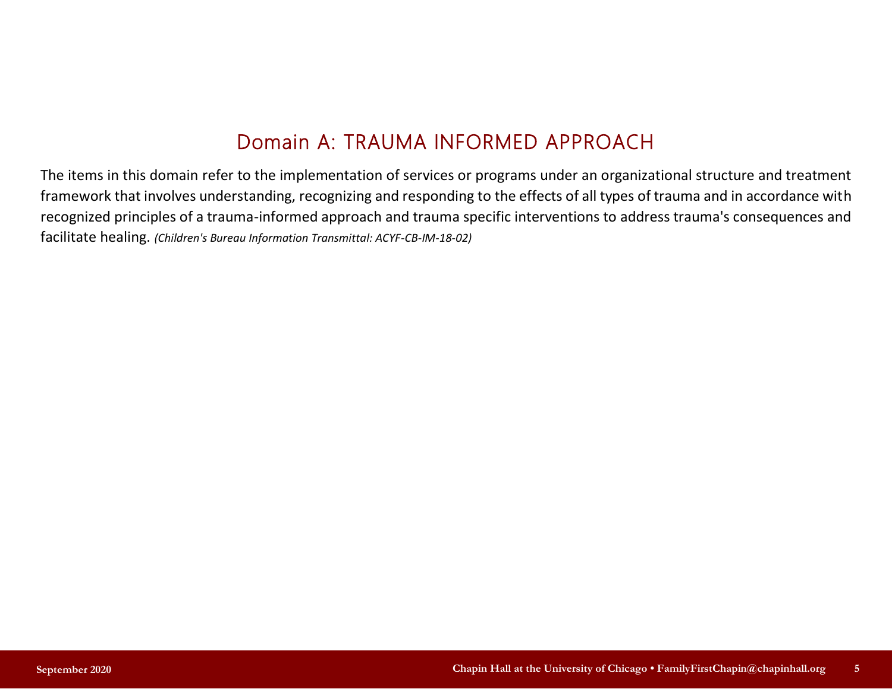# Domain A: TRAUMA INFORMED APPROACH

The items in this domain refer to the implementation of services or programs under an organizational structure and treatment framework that involves understanding, recognizing and responding to the effects of all types of trauma and in accordance with recognized principles of a trauma-informed approach and trauma specific interventions to address trauma's consequences and facilitate healing. *(Children's Bureau Information Transmittal: ACYF-CB-IM-18-02)*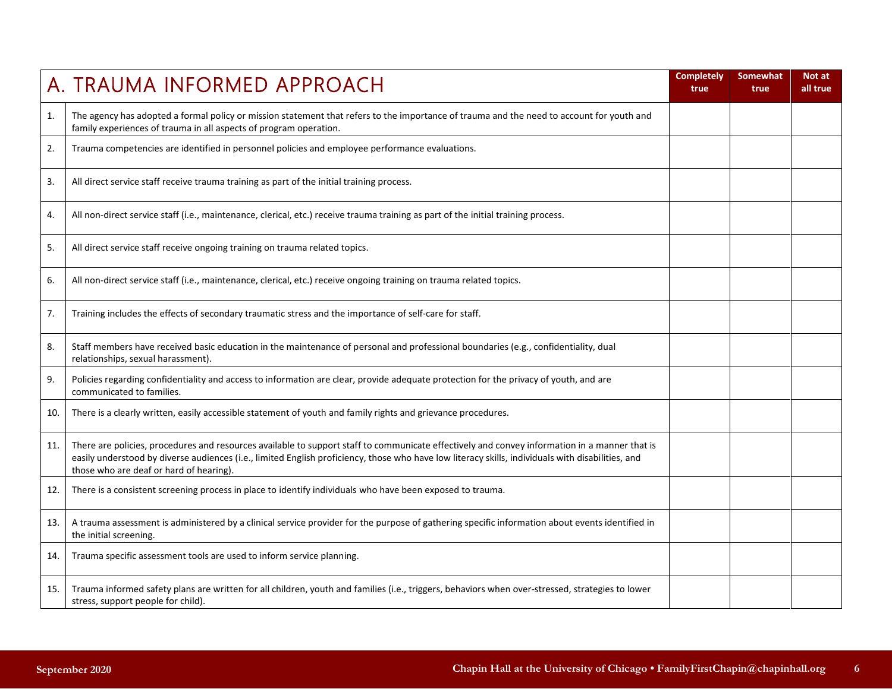|     | A. TRAUMA INFORMED APPROACH                                                                                                                                                                                                                                                                                                                   | <b>Completely</b><br>true | <b>Somewhat</b><br>true | Not at<br>all true |
|-----|-----------------------------------------------------------------------------------------------------------------------------------------------------------------------------------------------------------------------------------------------------------------------------------------------------------------------------------------------|---------------------------|-------------------------|--------------------|
| 1.  | The agency has adopted a formal policy or mission statement that refers to the importance of trauma and the need to account for youth and<br>family experiences of trauma in all aspects of program operation.                                                                                                                                |                           |                         |                    |
| 2.  | Trauma competencies are identified in personnel policies and employee performance evaluations.                                                                                                                                                                                                                                                |                           |                         |                    |
| 3.  | All direct service staff receive trauma training as part of the initial training process.                                                                                                                                                                                                                                                     |                           |                         |                    |
| 4.  | All non-direct service staff (i.e., maintenance, clerical, etc.) receive trauma training as part of the initial training process.                                                                                                                                                                                                             |                           |                         |                    |
| 5.  | All direct service staff receive ongoing training on trauma related topics.                                                                                                                                                                                                                                                                   |                           |                         |                    |
| 6.  | All non-direct service staff (i.e., maintenance, clerical, etc.) receive ongoing training on trauma related topics.                                                                                                                                                                                                                           |                           |                         |                    |
| 7.  | Training includes the effects of secondary traumatic stress and the importance of self-care for staff.                                                                                                                                                                                                                                        |                           |                         |                    |
| 8.  | Staff members have received basic education in the maintenance of personal and professional boundaries (e.g., confidentiality, dual<br>relationships, sexual harassment).                                                                                                                                                                     |                           |                         |                    |
| 9.  | Policies regarding confidentiality and access to information are clear, provide adequate protection for the privacy of youth, and are<br>communicated to families.                                                                                                                                                                            |                           |                         |                    |
| 10. | There is a clearly written, easily accessible statement of youth and family rights and grievance procedures.                                                                                                                                                                                                                                  |                           |                         |                    |
| 11. | There are policies, procedures and resources available to support staff to communicate effectively and convey information in a manner that is<br>easily understood by diverse audiences (i.e., limited English proficiency, those who have low literacy skills, individuals with disabilities, and<br>those who are deaf or hard of hearing). |                           |                         |                    |
| 12. | There is a consistent screening process in place to identify individuals who have been exposed to trauma.                                                                                                                                                                                                                                     |                           |                         |                    |
| 13. | A trauma assessment is administered by a clinical service provider for the purpose of gathering specific information about events identified in<br>the initial screening.                                                                                                                                                                     |                           |                         |                    |
| 14. | Trauma specific assessment tools are used to inform service planning.                                                                                                                                                                                                                                                                         |                           |                         |                    |
| 15. | Trauma informed safety plans are written for all children, youth and families (i.e., triggers, behaviors when over-stressed, strategies to lower<br>stress, support people for child).                                                                                                                                                        |                           |                         |                    |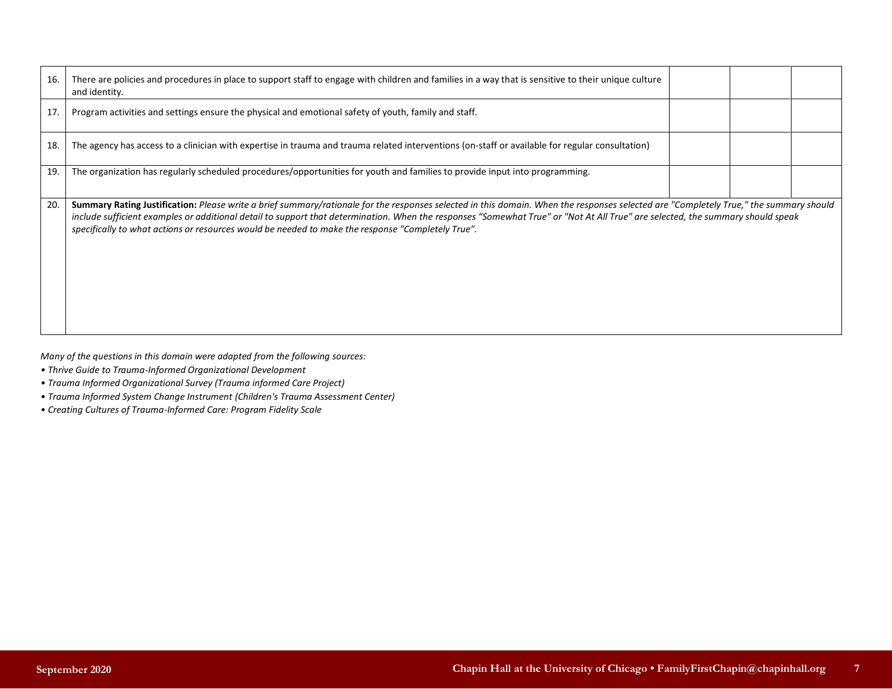| 16. | There are policies and procedures in place to support staff to engage with children and families in a way that is sensitive to their unique culture<br>and identity.                                                                                                                                                                                                                                                                                                         |  |  |
|-----|------------------------------------------------------------------------------------------------------------------------------------------------------------------------------------------------------------------------------------------------------------------------------------------------------------------------------------------------------------------------------------------------------------------------------------------------------------------------------|--|--|
| 17. | Program activities and settings ensure the physical and emotional safety of youth, family and staff.                                                                                                                                                                                                                                                                                                                                                                         |  |  |
| 18. | The agency has access to a clinician with expertise in trauma and trauma related interventions (on-staff or available for regular consultation)                                                                                                                                                                                                                                                                                                                              |  |  |
| 19. | The organization has regularly scheduled procedures/opportunities for youth and families to provide input into programming.                                                                                                                                                                                                                                                                                                                                                  |  |  |
| 20. | Summary Rating Justification: Please write a brief summary/rationale for the responses selected in this domain. When the responses selected are "Completely True," the summary should<br>include sufficient examples or additional detail to support that determination. When the responses "Somewhat True" or "Not At All True" are selected, the summary should speak<br>specifically to what actions or resources would be needed to make the response "Completely True". |  |  |

*Many of the questions in this domain were adapted from the following sources:* 

- *Thrive Guide to Trauma-Informed Organizational Development*
- *Trauma Informed Organizational Survey (Trauma informed Care Project)*
- *Trauma Informed System Change Instrument (Children's Trauma Assessment Center)*
- *Creating Cultures of Trauma-Informed Care: Program Fidelity Scale*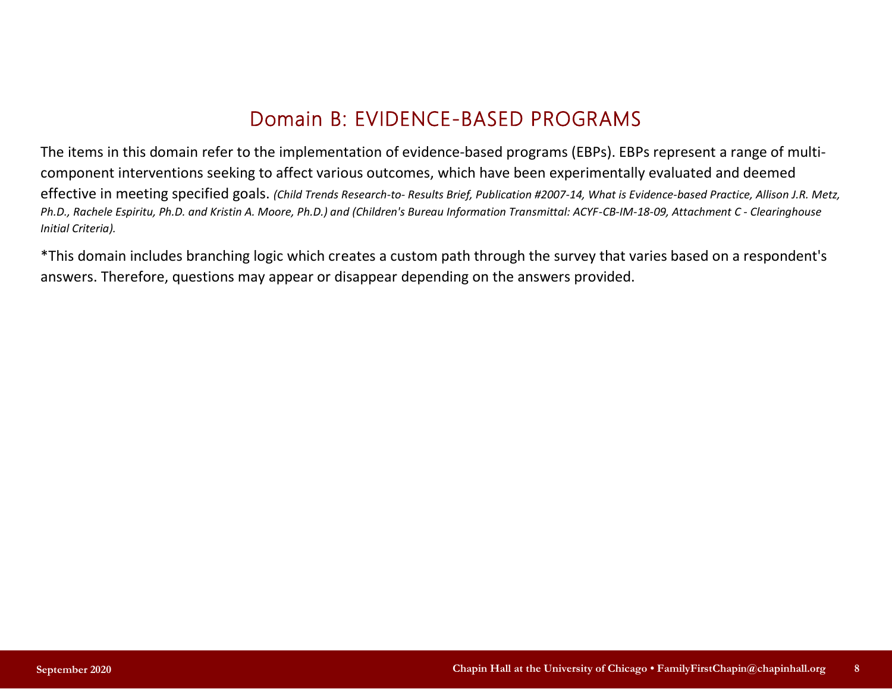# Domain B: EVIDENCE-BASED PROGRAMS

The items in this domain refer to the implementation of evidence-based programs (EBPs). EBPs represent a range of multicomponent interventions seeking to affect various outcomes, which have been experimentally evaluated and deemed effective in meeting specified goals. *(Child Trends Research-to- Results Brief, Publication #2007-14, What is Evidence-based Practice, Allison J.R. Metz, Ph.D., Rachele Espiritu, Ph.D. and Kristin A. Moore, Ph.D.) and (Children's Bureau Information Transmittal: ACYF-CB-IM-18-09, Attachment C - Clearinghouse Initial Criteria).*

\*This domain includes branching logic which creates a custom path through the survey that varies based on a respondent's answers. Therefore, questions may appear or disappear depending on the answers provided.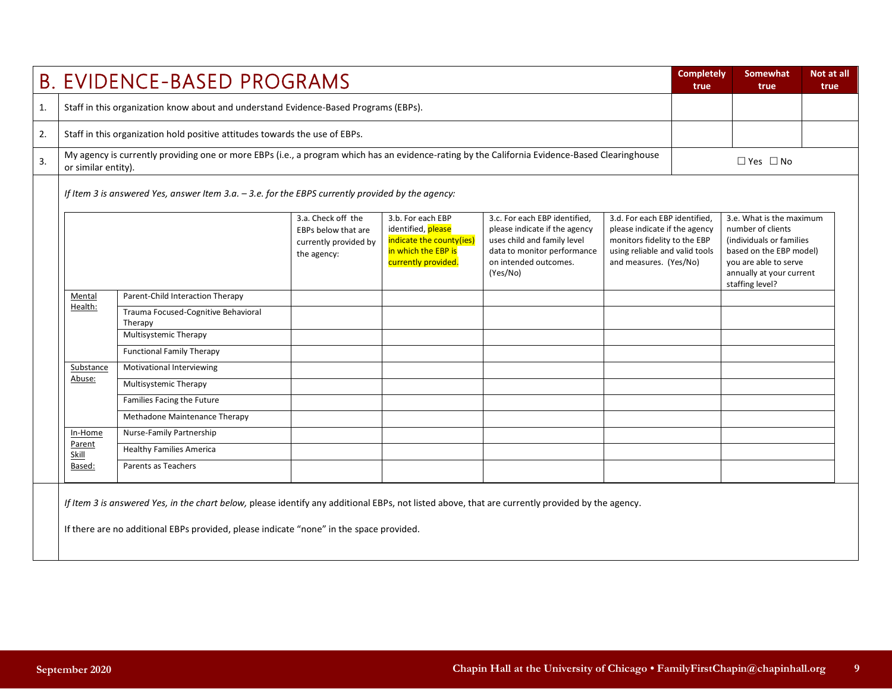|    |                                                                                                                                                                                                                                                                                                                                                                                                                                                                                                                                           | <b>B. EVIDENCE-BASED PROGRAMS</b>                                                                                                                                                                                                           |  |  |  |  | <b>Completely</b><br>true                                                                                                                                                    | Somewhat<br>true     | Not at all<br>true |
|----|-------------------------------------------------------------------------------------------------------------------------------------------------------------------------------------------------------------------------------------------------------------------------------------------------------------------------------------------------------------------------------------------------------------------------------------------------------------------------------------------------------------------------------------------|---------------------------------------------------------------------------------------------------------------------------------------------------------------------------------------------------------------------------------------------|--|--|--|--|------------------------------------------------------------------------------------------------------------------------------------------------------------------------------|----------------------|--------------------|
| 1. |                                                                                                                                                                                                                                                                                                                                                                                                                                                                                                                                           | Staff in this organization know about and understand Evidence-Based Programs (EBPs).                                                                                                                                                        |  |  |  |  |                                                                                                                                                                              |                      |                    |
| 2. |                                                                                                                                                                                                                                                                                                                                                                                                                                                                                                                                           | Staff in this organization hold positive attitudes towards the use of EBPs.                                                                                                                                                                 |  |  |  |  |                                                                                                                                                                              |                      |                    |
| 3. | or similar entity).                                                                                                                                                                                                                                                                                                                                                                                                                                                                                                                       | My agency is currently providing one or more EBPs (i.e., a program which has an evidence-rating by the California Evidence-Based Clearinghouse                                                                                              |  |  |  |  |                                                                                                                                                                              | $\Box$ Yes $\Box$ No |                    |
|    |                                                                                                                                                                                                                                                                                                                                                                                                                                                                                                                                           | If Item 3 is answered Yes, answer Item 3.a. - 3.e. for the EBPS currently provided by the agency:                                                                                                                                           |  |  |  |  |                                                                                                                                                                              |                      |                    |
|    | 3.b. For each EBP<br>3.d. For each EBP identified,<br>3.a. Check off the<br>3.c. For each EBP identified,<br>identified, please<br>please indicate if the agency<br>please indicate if the agency<br>EBPs below that are<br>indicate the county(ies)<br>uses child and family level<br>monitors fidelity to the EBP<br>currently provided by<br>in which the EBP is<br>data to monitor performance<br>using reliable and valid tools<br>the agency:<br>currently provided.<br>on intended outcomes.<br>and measures. (Yes/No)<br>(Yes/No) |                                                                                                                                                                                                                                             |  |  |  |  | 3.e. What is the maximum<br>number of clients<br>(individuals or families<br>based on the EBP model)<br>you are able to serve<br>annually at your current<br>staffing level? |                      |                    |
|    | Mental                                                                                                                                                                                                                                                                                                                                                                                                                                                                                                                                    | Parent-Child Interaction Therapy                                                                                                                                                                                                            |  |  |  |  |                                                                                                                                                                              |                      |                    |
|    | Health:                                                                                                                                                                                                                                                                                                                                                                                                                                                                                                                                   | Trauma Focused-Cognitive Behavioral<br>Therapy                                                                                                                                                                                              |  |  |  |  |                                                                                                                                                                              |                      |                    |
|    |                                                                                                                                                                                                                                                                                                                                                                                                                                                                                                                                           | Multisystemic Therapy                                                                                                                                                                                                                       |  |  |  |  |                                                                                                                                                                              |                      |                    |
|    |                                                                                                                                                                                                                                                                                                                                                                                                                                                                                                                                           | <b>Functional Family Therapy</b>                                                                                                                                                                                                            |  |  |  |  |                                                                                                                                                                              |                      |                    |
|    | Substance                                                                                                                                                                                                                                                                                                                                                                                                                                                                                                                                 | Motivational Interviewing                                                                                                                                                                                                                   |  |  |  |  |                                                                                                                                                                              |                      |                    |
|    | Abuse:                                                                                                                                                                                                                                                                                                                                                                                                                                                                                                                                    | Multisystemic Therapy                                                                                                                                                                                                                       |  |  |  |  |                                                                                                                                                                              |                      |                    |
|    |                                                                                                                                                                                                                                                                                                                                                                                                                                                                                                                                           | Families Facing the Future                                                                                                                                                                                                                  |  |  |  |  |                                                                                                                                                                              |                      |                    |
|    |                                                                                                                                                                                                                                                                                                                                                                                                                                                                                                                                           | Methadone Maintenance Therapy                                                                                                                                                                                                               |  |  |  |  |                                                                                                                                                                              |                      |                    |
|    | In-Home                                                                                                                                                                                                                                                                                                                                                                                                                                                                                                                                   | Nurse-Family Partnership                                                                                                                                                                                                                    |  |  |  |  |                                                                                                                                                                              |                      |                    |
|    | Parent<br>Skill                                                                                                                                                                                                                                                                                                                                                                                                                                                                                                                           | <b>Healthy Families America</b>                                                                                                                                                                                                             |  |  |  |  |                                                                                                                                                                              |                      |                    |
|    | Based:                                                                                                                                                                                                                                                                                                                                                                                                                                                                                                                                    | Parents as Teachers                                                                                                                                                                                                                         |  |  |  |  |                                                                                                                                                                              |                      |                    |
|    |                                                                                                                                                                                                                                                                                                                                                                                                                                                                                                                                           | If Item 3 is answered Yes, in the chart below, please identify any additional EBPs, not listed above, that are currently provided by the agency.<br>If there are no additional EBPs provided, please indicate "none" in the space provided. |  |  |  |  |                                                                                                                                                                              |                      |                    |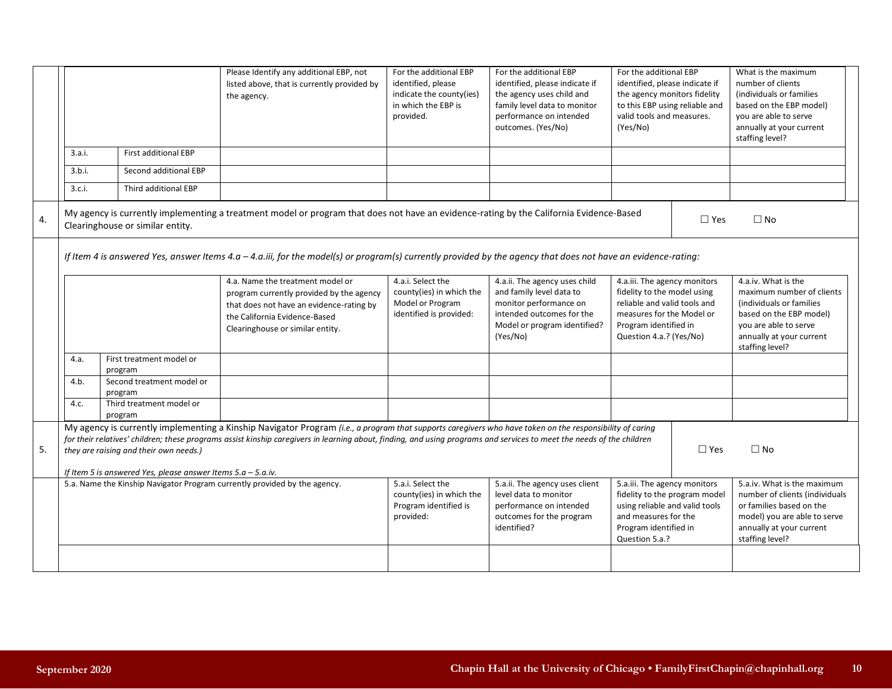|    |                                                                                                                                                                                                                                                                                                                                                                                                                                                                 |                                      | Please Identify any additional EBP, not<br>listed above, that is currently provided by<br>the agency.                                                                                         | For the additional EBP<br>identified, please<br>indicate the county(ies)<br>in which the EBP is<br>provided. | For the additional EBP<br>identified, please indicate if<br>the agency uses child and<br>family level data to monitor<br>performance on intended<br>outcomes. (Yes/No) | For the additional EBP<br>identified, please indicate if<br>the agency monitors fidelity<br>to this EBP using reliable and<br>valid tools and measures.<br>(Yes/No)          |  | What is the maximum<br>number of clients<br>(individuals or families<br>based on the EBP model)<br>you are able to serve<br>annually at your current<br>staffing level?          |
|----|-----------------------------------------------------------------------------------------------------------------------------------------------------------------------------------------------------------------------------------------------------------------------------------------------------------------------------------------------------------------------------------------------------------------------------------------------------------------|--------------------------------------|-----------------------------------------------------------------------------------------------------------------------------------------------------------------------------------------------|--------------------------------------------------------------------------------------------------------------|------------------------------------------------------------------------------------------------------------------------------------------------------------------------|------------------------------------------------------------------------------------------------------------------------------------------------------------------------------|--|----------------------------------------------------------------------------------------------------------------------------------------------------------------------------------|
|    | 3.a.i.                                                                                                                                                                                                                                                                                                                                                                                                                                                          | <b>First additional EBP</b>          |                                                                                                                                                                                               |                                                                                                              |                                                                                                                                                                        |                                                                                                                                                                              |  |                                                                                                                                                                                  |
|    | 3.b.i.                                                                                                                                                                                                                                                                                                                                                                                                                                                          | Second additional EBP                |                                                                                                                                                                                               |                                                                                                              |                                                                                                                                                                        |                                                                                                                                                                              |  |                                                                                                                                                                                  |
|    | 3.c.i.                                                                                                                                                                                                                                                                                                                                                                                                                                                          | Third additional EBP                 |                                                                                                                                                                                               |                                                                                                              |                                                                                                                                                                        |                                                                                                                                                                              |  |                                                                                                                                                                                  |
| 4. |                                                                                                                                                                                                                                                                                                                                                                                                                                                                 | Clearinghouse or similar entity.     | My agency is currently implementing a treatment model or program that does not have an evidence-rating by the California Evidence-Based                                                       |                                                                                                              |                                                                                                                                                                        | $\Box$ Yes                                                                                                                                                                   |  | $\Box$ No                                                                                                                                                                        |
|    |                                                                                                                                                                                                                                                                                                                                                                                                                                                                 |                                      | If Item 4 is answered Yes, answer Items 4.a - 4.a.iii, for the model(s) or program(s) currently provided by the agency that does not have an evidence-rating:                                 |                                                                                                              |                                                                                                                                                                        |                                                                                                                                                                              |  |                                                                                                                                                                                  |
|    |                                                                                                                                                                                                                                                                                                                                                                                                                                                                 |                                      | 4.a. Name the treatment model or<br>program currently provided by the agency<br>that does not have an evidence-rating by<br>the California Evidence-Based<br>Clearinghouse or similar entity. | 4.a.i. Select the<br>county(ies) in which the<br>Model or Program<br>identified is provided:                 | 4.a.ii. The agency uses child<br>and family level data to<br>monitor performance on<br>intended outcomes for the<br>Model or program identified?<br>(Yes/No)           | 4.a.iii. The agency monitors<br>fidelity to the model using<br>reliable and valid tools and<br>measures for the Model or<br>Program identified in<br>Question 4.a.? (Yes/No) |  | 4.a.iv. What is the<br>maximum number of clients<br>(individuals or families)<br>based on the EBP model)<br>you are able to serve<br>annually at your current<br>staffing level? |
|    | 4.a.                                                                                                                                                                                                                                                                                                                                                                                                                                                            | First treatment model or<br>program  |                                                                                                                                                                                               |                                                                                                              |                                                                                                                                                                        |                                                                                                                                                                              |  |                                                                                                                                                                                  |
|    | 4.b.                                                                                                                                                                                                                                                                                                                                                                                                                                                            | Second treatment model or<br>program |                                                                                                                                                                                               |                                                                                                              |                                                                                                                                                                        |                                                                                                                                                                              |  |                                                                                                                                                                                  |
|    | 4.c.                                                                                                                                                                                                                                                                                                                                                                                                                                                            | Third treatment model or<br>program  |                                                                                                                                                                                               |                                                                                                              |                                                                                                                                                                        |                                                                                                                                                                              |  |                                                                                                                                                                                  |
| 5. | My agency is currently implementing a Kinship Navigator Program (i.e., a program that supports caregivers who have taken on the responsibility of caring<br>for their relatives' children; these programs assist kinship caregivers in learning about, finding, and using programs and services to meet the needs of the children<br>$\square$ Yes<br>they are raising and their own needs.)<br>If Item 5 is answered Yes, please answer Items $5.a - 5.a.iv$ . |                                      |                                                                                                                                                                                               |                                                                                                              | $\Box$ No                                                                                                                                                              |                                                                                                                                                                              |  |                                                                                                                                                                                  |
|    |                                                                                                                                                                                                                                                                                                                                                                                                                                                                 |                                      | 5.a. Name the Kinship Navigator Program currently provided by the agency.                                                                                                                     | 5.a.i. Select the<br>county(ies) in which the<br>Program identified is<br>provided:                          | 5.a.ii. The agency uses client<br>level data to monitor<br>performance on intended<br>outcomes for the program<br>identified?                                          | 5.a.iii. The agency monitors<br>fidelity to the program model<br>using reliable and valid tools<br>and measures for the<br>Program identified in<br>Question 5.a.?           |  | 5.a.iv. What is the maximum<br>number of clients (individuals<br>or families based on the<br>model) you are able to serve<br>annually at your current<br>staffing level?         |
|    |                                                                                                                                                                                                                                                                                                                                                                                                                                                                 |                                      |                                                                                                                                                                                               |                                                                                                              |                                                                                                                                                                        |                                                                                                                                                                              |  |                                                                                                                                                                                  |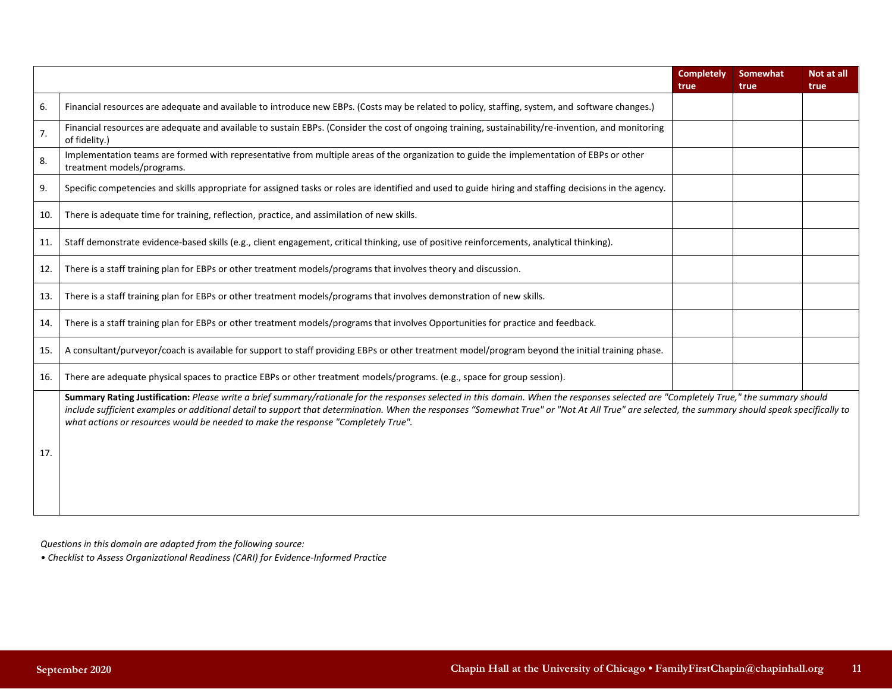|     |                                                                                                                                                                                                                                                                                                                                                                                                                                                                              | <b>Completely</b><br>true | Somewhat<br>true | Not at all<br>true |
|-----|------------------------------------------------------------------------------------------------------------------------------------------------------------------------------------------------------------------------------------------------------------------------------------------------------------------------------------------------------------------------------------------------------------------------------------------------------------------------------|---------------------------|------------------|--------------------|
| 6.  | Financial resources are adequate and available to introduce new EBPs. (Costs may be related to policy, staffing, system, and software changes.)                                                                                                                                                                                                                                                                                                                              |                           |                  |                    |
| 7.  | Financial resources are adequate and available to sustain EBPs. (Consider the cost of ongoing training, sustainability/re-invention, and monitoring<br>of fidelity.)                                                                                                                                                                                                                                                                                                         |                           |                  |                    |
| 8.  | Implementation teams are formed with representative from multiple areas of the organization to guide the implementation of EBPs or other<br>treatment models/programs.                                                                                                                                                                                                                                                                                                       |                           |                  |                    |
| 9.  | Specific competencies and skills appropriate for assigned tasks or roles are identified and used to guide hiring and staffing decisions in the agency.                                                                                                                                                                                                                                                                                                                       |                           |                  |                    |
| 10. | There is adequate time for training, reflection, practice, and assimilation of new skills.                                                                                                                                                                                                                                                                                                                                                                                   |                           |                  |                    |
| 11. | Staff demonstrate evidence-based skills (e.g., client engagement, critical thinking, use of positive reinforcements, analytical thinking).                                                                                                                                                                                                                                                                                                                                   |                           |                  |                    |
| 12. | There is a staff training plan for EBPs or other treatment models/programs that involves theory and discussion.                                                                                                                                                                                                                                                                                                                                                              |                           |                  |                    |
| 13. | There is a staff training plan for EBPs or other treatment models/programs that involves demonstration of new skills.                                                                                                                                                                                                                                                                                                                                                        |                           |                  |                    |
| 14. | There is a staff training plan for EBPs or other treatment models/programs that involves Opportunities for practice and feedback.                                                                                                                                                                                                                                                                                                                                            |                           |                  |                    |
| 15. | A consultant/purveyor/coach is available for support to staff providing EBPs or other treatment model/program beyond the initial training phase.                                                                                                                                                                                                                                                                                                                             |                           |                  |                    |
| 16. | There are adequate physical spaces to practice EBPs or other treatment models/programs. (e.g., space for group session).                                                                                                                                                                                                                                                                                                                                                     |                           |                  |                    |
| 17. | Summary Rating Justification: Please write a brief summary/rationale for the responses selected in this domain. When the responses selected are "Completely True," the summary should<br>include sufficient examples or additional detail to support that determination. When the responses "Somewhat True" or "Not At All True" are selected, the summary should speak specifically to<br>what actions or resources would be needed to make the response "Completely True". |                           |                  |                    |

*Questions in this domain are adapted from the following source:* 

*• Checklist to Assess Organizational Readiness (CARI) for Evidence-Informed Practice*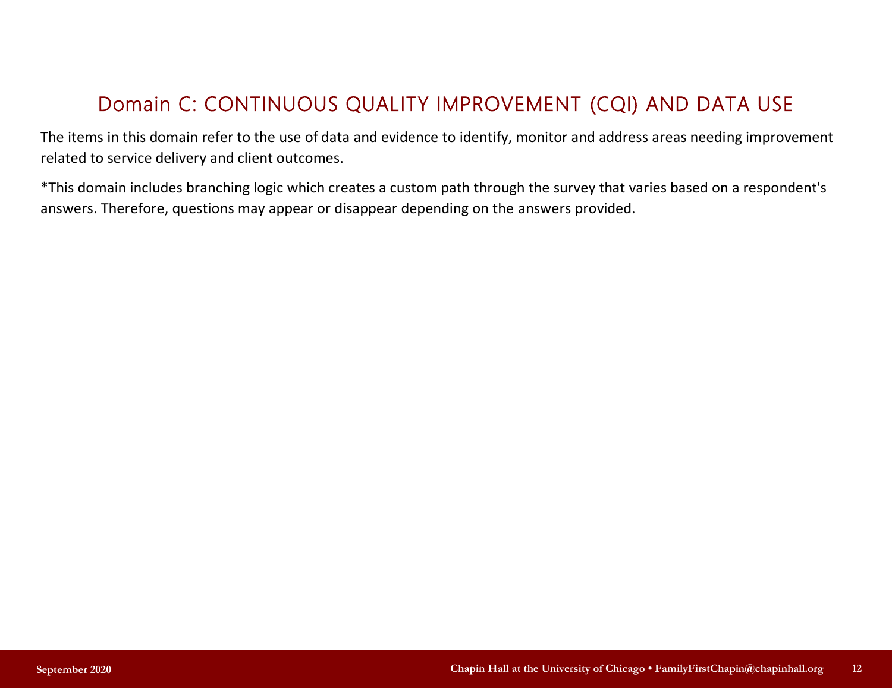# Domain C: CONTINUOUS QUALITY IMPROVEMENT (CQI) AND DATA USE

The items in this domain refer to the use of data and evidence to identify, monitor and address areas needing improvement related to service delivery and client outcomes.

\*This domain includes branching logic which creates a custom path through the survey that varies based on a respondent's answers. Therefore, questions may appear or disappear depending on the answers provided.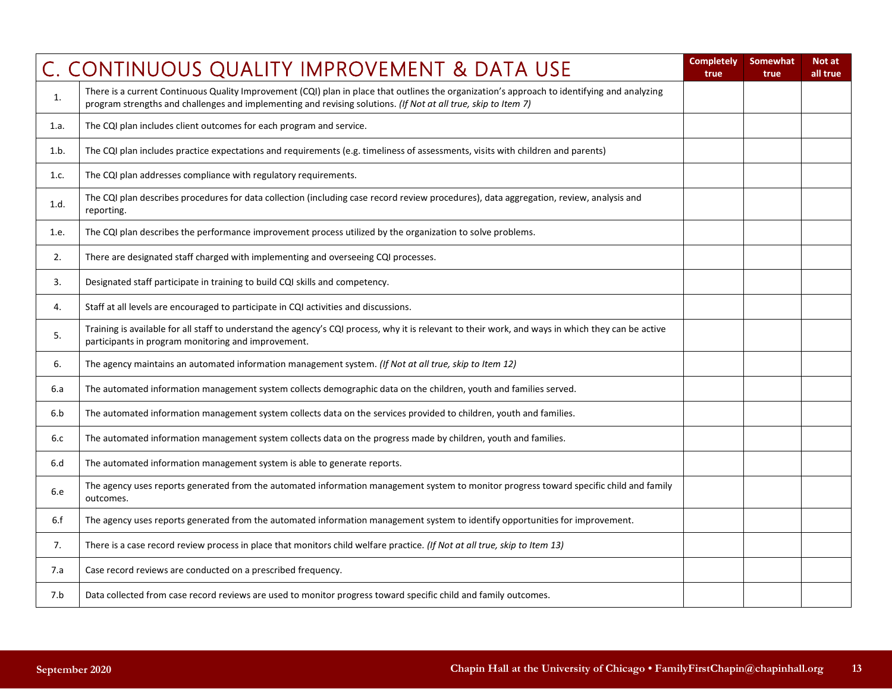|      | C. CONTINUOUS QUALITY IMPROVEMENT & DATA USE                                                                                                                                                                                                                   | <b>Completely</b><br>true | <b>Somewhat</b><br>true | Not at<br>all true |
|------|----------------------------------------------------------------------------------------------------------------------------------------------------------------------------------------------------------------------------------------------------------------|---------------------------|-------------------------|--------------------|
| 1.   | There is a current Continuous Quality Improvement (CQI) plan in place that outlines the organization's approach to identifying and analyzing<br>program strengths and challenges and implementing and revising solutions. (If Not at all true, skip to Item 7) |                           |                         |                    |
| 1.a. | The CQI plan includes client outcomes for each program and service.                                                                                                                                                                                            |                           |                         |                    |
| 1.b. | The CQI plan includes practice expectations and requirements (e.g. timeliness of assessments, visits with children and parents)                                                                                                                                |                           |                         |                    |
| 1.c. | The CQI plan addresses compliance with regulatory requirements.                                                                                                                                                                                                |                           |                         |                    |
| 1.d. | The CQI plan describes procedures for data collection (including case record review procedures), data aggregation, review, analysis and<br>reporting.                                                                                                          |                           |                         |                    |
| 1.e. | The CQI plan describes the performance improvement process utilized by the organization to solve problems.                                                                                                                                                     |                           |                         |                    |
| 2.   | There are designated staff charged with implementing and overseeing CQI processes.                                                                                                                                                                             |                           |                         |                    |
| 3.   | Designated staff participate in training to build CQI skills and competency.                                                                                                                                                                                   |                           |                         |                    |
| 4.   | Staff at all levels are encouraged to participate in CQI activities and discussions.                                                                                                                                                                           |                           |                         |                    |
| 5.   | Training is available for all staff to understand the agency's CQI process, why it is relevant to their work, and ways in which they can be active<br>participants in program monitoring and improvement.                                                      |                           |                         |                    |
| 6.   | The agency maintains an automated information management system. (If Not at all true, skip to Item 12)                                                                                                                                                         |                           |                         |                    |
| 6.a  | The automated information management system collects demographic data on the children, youth and families served.                                                                                                                                              |                           |                         |                    |
| 6.b  | The automated information management system collects data on the services provided to children, youth and families.                                                                                                                                            |                           |                         |                    |
| 6.c  | The automated information management system collects data on the progress made by children, youth and families.                                                                                                                                                |                           |                         |                    |
| 6.d  | The automated information management system is able to generate reports.                                                                                                                                                                                       |                           |                         |                    |
| 6.e  | The agency uses reports generated from the automated information management system to monitor progress toward specific child and family<br>outcomes.                                                                                                           |                           |                         |                    |
| 6.f  | The agency uses reports generated from the automated information management system to identify opportunities for improvement.                                                                                                                                  |                           |                         |                    |
| 7.   | There is a case record review process in place that monitors child welfare practice. (If Not at all true, skip to Item 13)                                                                                                                                     |                           |                         |                    |
| 7.a  | Case record reviews are conducted on a prescribed frequency.                                                                                                                                                                                                   |                           |                         |                    |
| 7.b  | Data collected from case record reviews are used to monitor progress toward specific child and family outcomes.                                                                                                                                                |                           |                         |                    |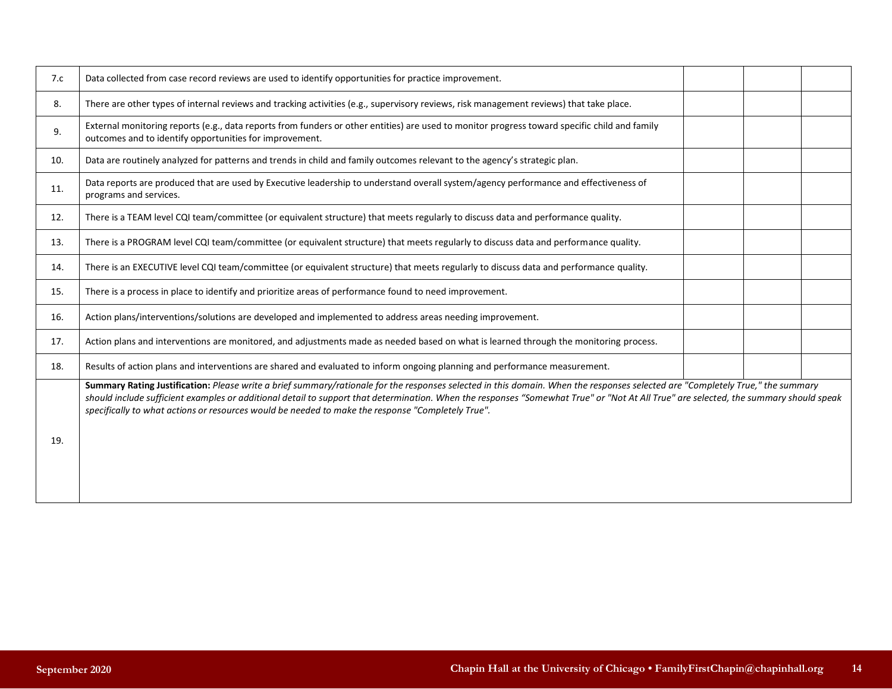| 7.c | Data collected from case record reviews are used to identify opportunities for practice improvement.                                                                                                                                                                                                                                                                                                                                                                         |  |  |
|-----|------------------------------------------------------------------------------------------------------------------------------------------------------------------------------------------------------------------------------------------------------------------------------------------------------------------------------------------------------------------------------------------------------------------------------------------------------------------------------|--|--|
| 8.  | There are other types of internal reviews and tracking activities (e.g., supervisory reviews, risk management reviews) that take place.                                                                                                                                                                                                                                                                                                                                      |  |  |
| 9.  | External monitoring reports (e.g., data reports from funders or other entities) are used to monitor progress toward specific child and family<br>outcomes and to identify opportunities for improvement.                                                                                                                                                                                                                                                                     |  |  |
| 10. | Data are routinely analyzed for patterns and trends in child and family outcomes relevant to the agency's strategic plan.                                                                                                                                                                                                                                                                                                                                                    |  |  |
| 11. | Data reports are produced that are used by Executive leadership to understand overall system/agency performance and effectiveness of<br>programs and services.                                                                                                                                                                                                                                                                                                               |  |  |
| 12. | There is a TEAM level CQI team/committee (or equivalent structure) that meets regularly to discuss data and performance quality.                                                                                                                                                                                                                                                                                                                                             |  |  |
| 13. | There is a PROGRAM level CQI team/committee (or equivalent structure) that meets regularly to discuss data and performance quality.                                                                                                                                                                                                                                                                                                                                          |  |  |
| 14. | There is an EXECUTIVE level CQI team/committee (or equivalent structure) that meets regularly to discuss data and performance quality.                                                                                                                                                                                                                                                                                                                                       |  |  |
| 15. | There is a process in place to identify and prioritize areas of performance found to need improvement.                                                                                                                                                                                                                                                                                                                                                                       |  |  |
| 16. | Action plans/interventions/solutions are developed and implemented to address areas needing improvement.                                                                                                                                                                                                                                                                                                                                                                     |  |  |
| 17. | Action plans and interventions are monitored, and adjustments made as needed based on what is learned through the monitoring process.                                                                                                                                                                                                                                                                                                                                        |  |  |
| 18. | Results of action plans and interventions are shared and evaluated to inform ongoing planning and performance measurement.                                                                                                                                                                                                                                                                                                                                                   |  |  |
| 19. | Summary Rating Justification: Please write a brief summary/rationale for the responses selected in this domain. When the responses selected are "Completely True," the summary<br>should include sufficient examples or additional detail to support that determination. When the responses "Somewhat True" or "Not At All True" are selected, the summary should speak<br>specifically to what actions or resources would be needed to make the response "Completely True". |  |  |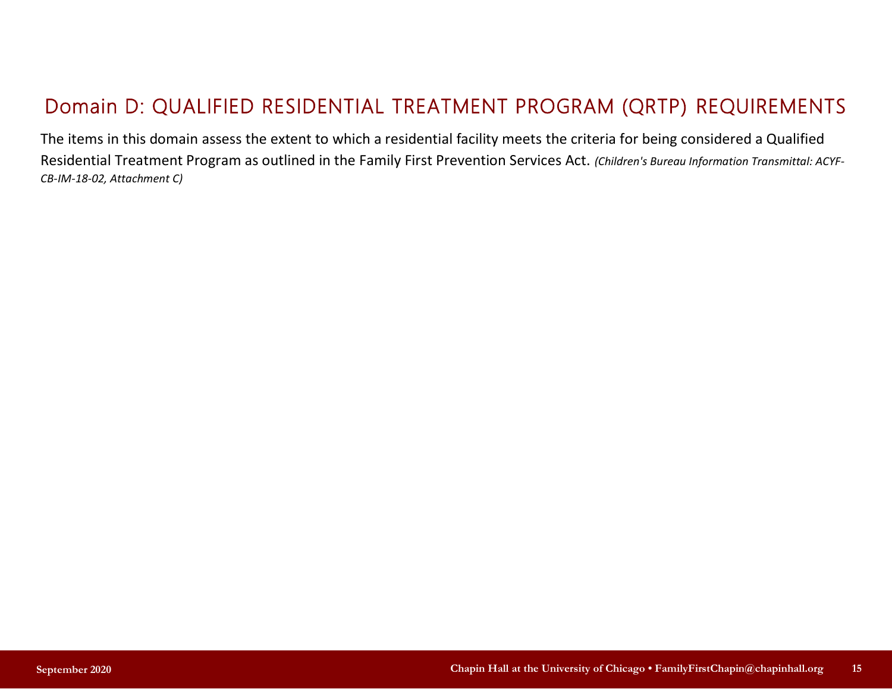# Domain D: QUALIFIED RESIDENTIAL TREATMENT PROGRAM (QRTP) REQUIREMENTS

The items in this domain assess the extent to which a residential facility meets the criteria for being considered a Qualified Residential Treatment Program as outlined in the Family First Prevention Services Act. *(Children's Bureau Information Transmittal: ACYF-CB-IM-18-02, Attachment C)*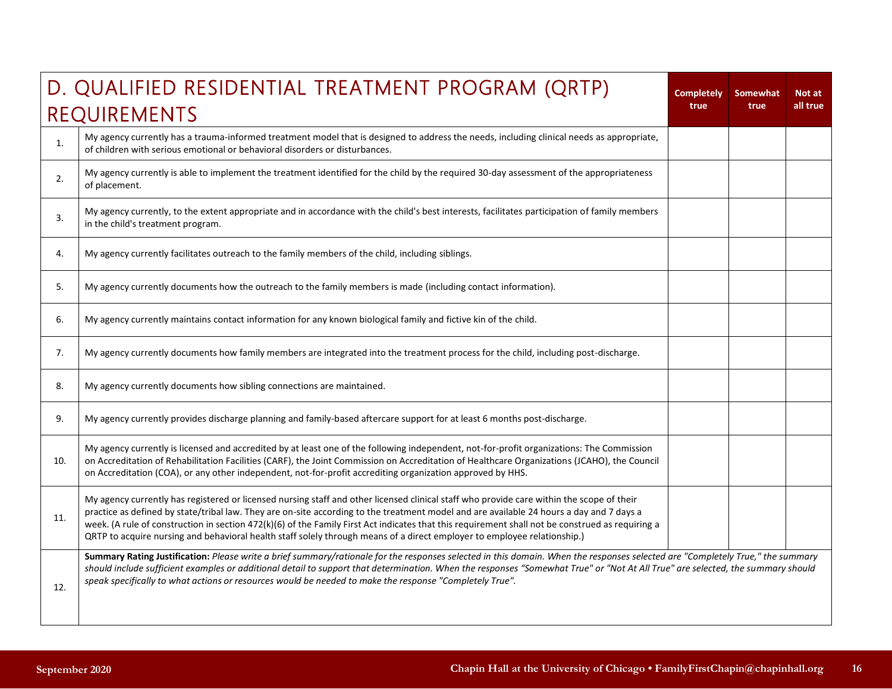|     | D. QUALIFIED RESIDENTIAL TREATMENT PROGRAM (QRTP)                                                                                                                                                                                                                                                                                                                                                                                                                                                                                                                     | <b>Completely</b> | <b>Somewhat</b> | Not at   |
|-----|-----------------------------------------------------------------------------------------------------------------------------------------------------------------------------------------------------------------------------------------------------------------------------------------------------------------------------------------------------------------------------------------------------------------------------------------------------------------------------------------------------------------------------------------------------------------------|-------------------|-----------------|----------|
|     | REQUIREMENTS                                                                                                                                                                                                                                                                                                                                                                                                                                                                                                                                                          | true              | true            | all true |
| 1.  | My agency currently has a trauma-informed treatment model that is designed to address the needs, including clinical needs as appropriate,<br>of children with serious emotional or behavioral disorders or disturbances.                                                                                                                                                                                                                                                                                                                                              |                   |                 |          |
| 2.  | My agency currently is able to implement the treatment identified for the child by the required 30-day assessment of the appropriateness<br>of placement.                                                                                                                                                                                                                                                                                                                                                                                                             |                   |                 |          |
| 3.  | My agency currently, to the extent appropriate and in accordance with the child's best interests, facilitates participation of family members<br>in the child's treatment program.                                                                                                                                                                                                                                                                                                                                                                                    |                   |                 |          |
| 4.  | My agency currently facilitates outreach to the family members of the child, including siblings.                                                                                                                                                                                                                                                                                                                                                                                                                                                                      |                   |                 |          |
| 5.  | My agency currently documents how the outreach to the family members is made (including contact information).                                                                                                                                                                                                                                                                                                                                                                                                                                                         |                   |                 |          |
| 6.  | My agency currently maintains contact information for any known biological family and fictive kin of the child.                                                                                                                                                                                                                                                                                                                                                                                                                                                       |                   |                 |          |
| 7.  | My agency currently documents how family members are integrated into the treatment process for the child, including post-discharge.                                                                                                                                                                                                                                                                                                                                                                                                                                   |                   |                 |          |
| 8.  | My agency currently documents how sibling connections are maintained.                                                                                                                                                                                                                                                                                                                                                                                                                                                                                                 |                   |                 |          |
| 9.  | My agency currently provides discharge planning and family-based aftercare support for at least 6 months post-discharge.                                                                                                                                                                                                                                                                                                                                                                                                                                              |                   |                 |          |
| 10. | My agency currently is licensed and accredited by at least one of the following independent, not-for-profit organizations: The Commission<br>on Accreditation of Rehabilitation Facilities (CARF), the Joint Commission on Accreditation of Healthcare Organizations (JCAHO), the Council<br>on Accreditation (COA), or any other independent, not-for-profit accrediting organization approved by HHS.                                                                                                                                                               |                   |                 |          |
| 11. | My agency currently has registered or licensed nursing staff and other licensed clinical staff who provide care within the scope of their<br>practice as defined by state/tribal law. They are on-site according to the treatment model and are available 24 hours a day and 7 days a<br>week. (A rule of construction in section 472(k)(6) of the Family First Act indicates that this requirement shall not be construed as requiring a<br>QRTP to acquire nursing and behavioral health staff solely through means of a direct employer to employee relationship.) |                   |                 |          |
| 12. | Summary Rating Justification: Please write a brief summary/rationale for the responses selected in this domain. When the responses selected are "Completely True," the summary<br>should include sufficient examples or additional detail to support that determination. When the responses "Somewhat True" or "Not At All True" are selected, the summary should<br>speak specifically to what actions or resources would be needed to make the response "Completely True".                                                                                          |                   |                 |          |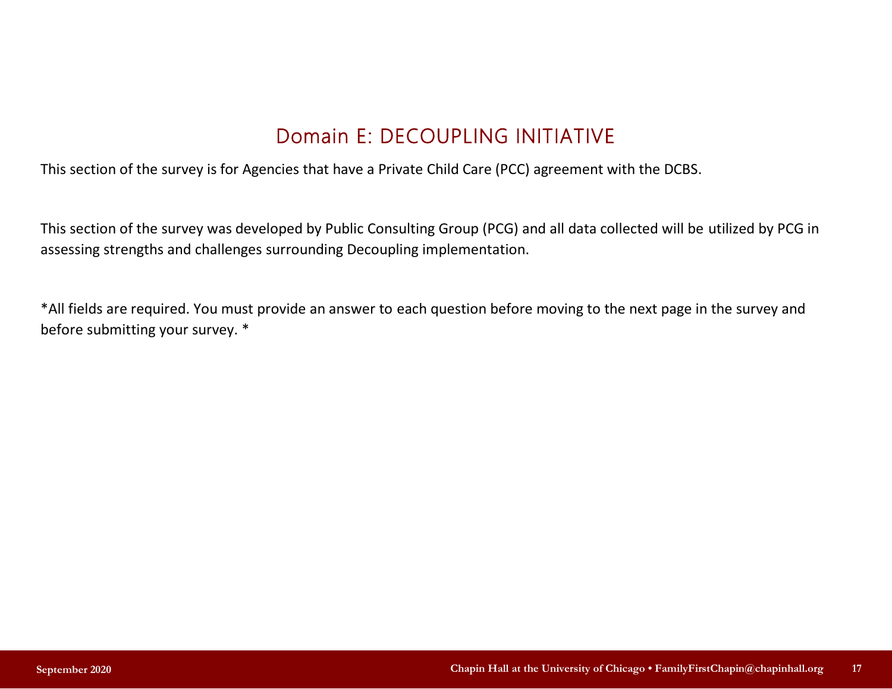# Domain E: DECOUPLING INITIATIVE

This section of the survey is for Agencies that have a Private Child Care (PCC) agreement with the DCBS.

This section of the survey was developed by Public Consulting Group (PCG) and all data collected will be utilized by PCG in assessing strengths and challenges surrounding Decoupling implementation.

\*All fields are required. You must provide an answer to each question before moving to the next page in the survey and before submitting your survey. \*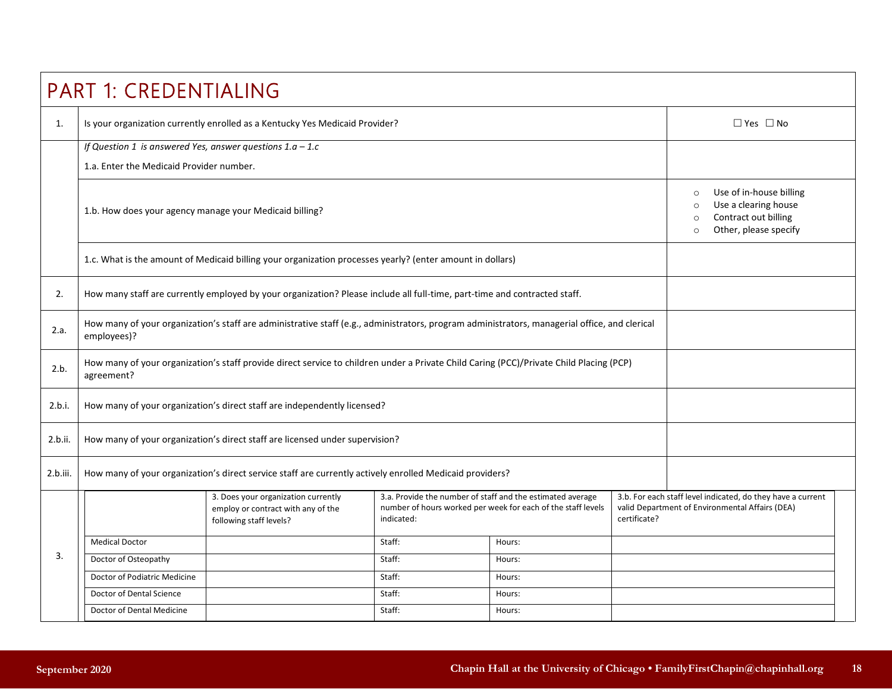|          | <b>PART 1: CREDENTIALING</b>                                                                                                                                                                                                                                     |                                                                                                                                              |        |        |                                                                                                                |                      |  |
|----------|------------------------------------------------------------------------------------------------------------------------------------------------------------------------------------------------------------------------------------------------------------------|----------------------------------------------------------------------------------------------------------------------------------------------|--------|--------|----------------------------------------------------------------------------------------------------------------|----------------------|--|
| 1.       |                                                                                                                                                                                                                                                                  | Is your organization currently enrolled as a Kentucky Yes Medicaid Provider?                                                                 |        |        |                                                                                                                | $\Box$ Yes $\Box$ No |  |
|          | If Question 1 is answered Yes, answer questions $1.a - 1.c$                                                                                                                                                                                                      |                                                                                                                                              |        |        |                                                                                                                |                      |  |
|          | 1.a. Enter the Medicaid Provider number.                                                                                                                                                                                                                         |                                                                                                                                              |        |        |                                                                                                                |                      |  |
|          | 1.b. How does your agency manage your Medicaid billing?                                                                                                                                                                                                          | Use of in-house billing<br>$\circ$<br>Use a clearing house<br>$\circ$<br>Contract out billing<br>$\circ$<br>Other, please specify<br>$\circ$ |        |        |                                                                                                                |                      |  |
|          |                                                                                                                                                                                                                                                                  | 1.c. What is the amount of Medicaid billing your organization processes yearly? (enter amount in dollars)                                    |        |        |                                                                                                                |                      |  |
| 2.       |                                                                                                                                                                                                                                                                  | How many staff are currently employed by your organization? Please include all full-time, part-time and contracted staff.                    |        |        |                                                                                                                |                      |  |
| 2.a.     | How many of your organization's staff are administrative staff (e.g., administrators, program administrators, managerial office, and clerical<br>employees)?                                                                                                     |                                                                                                                                              |        |        |                                                                                                                |                      |  |
| 2.b.     | agreement?                                                                                                                                                                                                                                                       | How many of your organization's staff provide direct service to children under a Private Child Caring (PCC)/Private Child Placing (PCP)      |        |        |                                                                                                                |                      |  |
| 2.b.i.   |                                                                                                                                                                                                                                                                  | How many of your organization's direct staff are independently licensed?                                                                     |        |        |                                                                                                                |                      |  |
| 2.b.ii.  |                                                                                                                                                                                                                                                                  | How many of your organization's direct staff are licensed under supervision?                                                                 |        |        |                                                                                                                |                      |  |
| 2.b.iii. |                                                                                                                                                                                                                                                                  | How many of your organization's direct service staff are currently actively enrolled Medicaid providers?                                     |        |        |                                                                                                                |                      |  |
|          | 3. Does your organization currently<br>3.a. Provide the number of staff and the estimated average<br>number of hours worked per week for each of the staff levels<br>employ or contract with any of the<br>certificate?<br>indicated:<br>following staff levels? |                                                                                                                                              |        |        | 3.b. For each staff level indicated, do they have a current<br>valid Department of Environmental Affairs (DEA) |                      |  |
|          | <b>Medical Doctor</b>                                                                                                                                                                                                                                            |                                                                                                                                              | Staff: | Hours: |                                                                                                                |                      |  |
| 3.       | Doctor of Osteopathy                                                                                                                                                                                                                                             |                                                                                                                                              | Staff: | Hours: |                                                                                                                |                      |  |
|          | Doctor of Podiatric Medicine                                                                                                                                                                                                                                     |                                                                                                                                              | Staff: | Hours: |                                                                                                                |                      |  |
|          | Doctor of Dental Science                                                                                                                                                                                                                                         |                                                                                                                                              | Staff: | Hours: |                                                                                                                |                      |  |
|          | Doctor of Dental Medicine                                                                                                                                                                                                                                        |                                                                                                                                              |        |        |                                                                                                                |                      |  |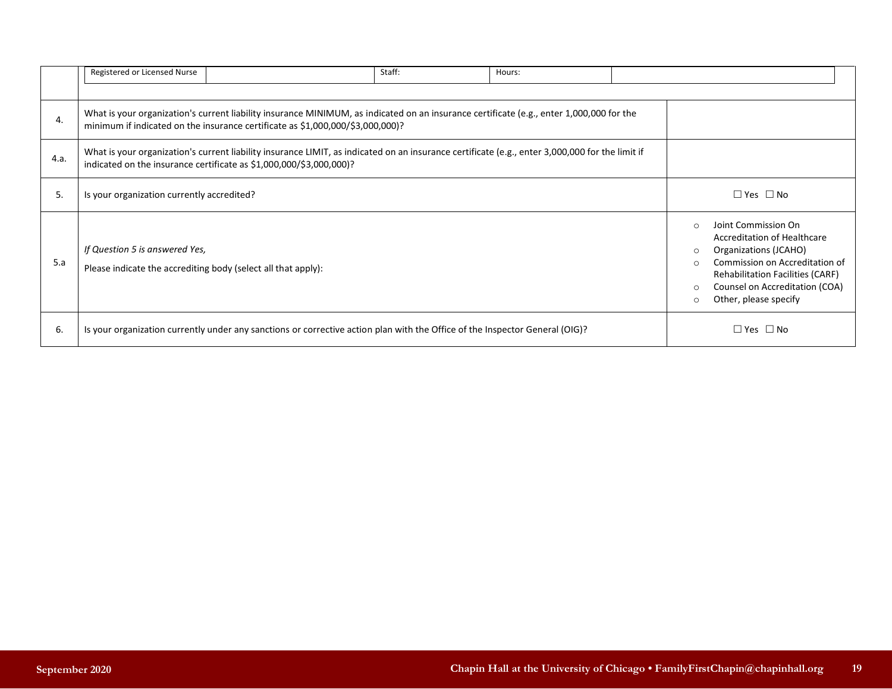|      | Registered or Licensed Nurse                                                                                                                                                                                               | Staff: | Hours: |                                                                                                                                                                                                                                                                          |
|------|----------------------------------------------------------------------------------------------------------------------------------------------------------------------------------------------------------------------------|--------|--------|--------------------------------------------------------------------------------------------------------------------------------------------------------------------------------------------------------------------------------------------------------------------------|
| 4.   | What is your organization's current liability insurance MINIMUM, as indicated on an insurance certificate (e.g., enter 1,000,000 for the<br>minimum if indicated on the insurance certificate as \$1,000,000/\$3,000,000)? |        |        |                                                                                                                                                                                                                                                                          |
| 4.a. | What is your organization's current liability insurance LIMIT, as indicated on an insurance certificate (e.g., enter 3,000,000 for the limit if<br>indicated on the insurance certificate as \$1,000,000/\$3,000,000)?     |        |        |                                                                                                                                                                                                                                                                          |
| 5.   | Is your organization currently accredited?                                                                                                                                                                                 |        |        | $\Box$ Yes $\Box$ No                                                                                                                                                                                                                                                     |
| 5.a  | If Question 5 is answered Yes,<br>Please indicate the accrediting body (select all that apply):                                                                                                                            |        |        | Joint Commission On<br>$\Omega$<br><b>Accreditation of Healthcare</b><br>Organizations (JCAHO)<br>$\circ$<br>Commission on Accreditation of<br>$\Omega$<br><b>Rehabilitation Facilities (CARF)</b><br>Counsel on Accreditation (COA)<br>Other, please specify<br>$\circ$ |
| 6.   | Is your organization currently under any sanctions or corrective action plan with the Office of the Inspector General (OIG)?                                                                                               |        |        | $\Box$ Yes $\Box$ No                                                                                                                                                                                                                                                     |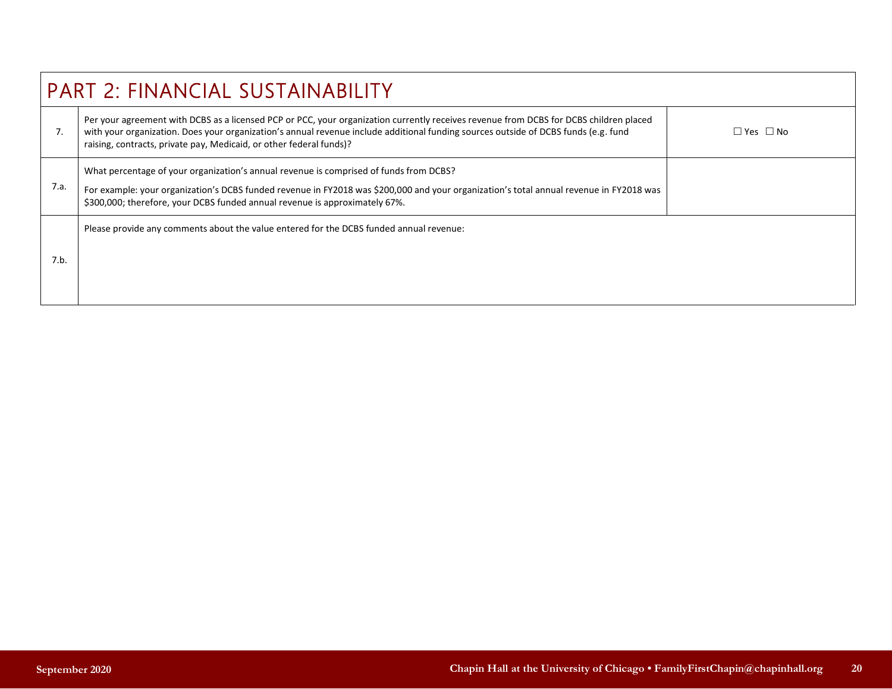|      | <b>PART 2: FINANCIAL SUSTAINABILITY</b>                                                                                                                                                                                                                                                                                                              |            |  |  |  |  |  |
|------|------------------------------------------------------------------------------------------------------------------------------------------------------------------------------------------------------------------------------------------------------------------------------------------------------------------------------------------------------|------------|--|--|--|--|--|
| 7.   | Per your agreement with DCBS as a licensed PCP or PCC, your organization currently receives revenue from DCBS for DCBS children placed<br>with your organization. Does your organization's annual revenue include additional funding sources outside of DCBS funds (e.g. fund<br>raising, contracts, private pay, Medicaid, or other federal funds)? | □ Yes □ No |  |  |  |  |  |
| 7.a. | What percentage of your organization's annual revenue is comprised of funds from DCBS?<br>For example: your organization's DCBS funded revenue in FY2018 was \$200,000 and your organization's total annual revenue in FY2018 was<br>\$300,000; therefore, your DCBS funded annual revenue is approximately 67%.                                     |            |  |  |  |  |  |
| 7.b. | Please provide any comments about the value entered for the DCBS funded annual revenue:                                                                                                                                                                                                                                                              |            |  |  |  |  |  |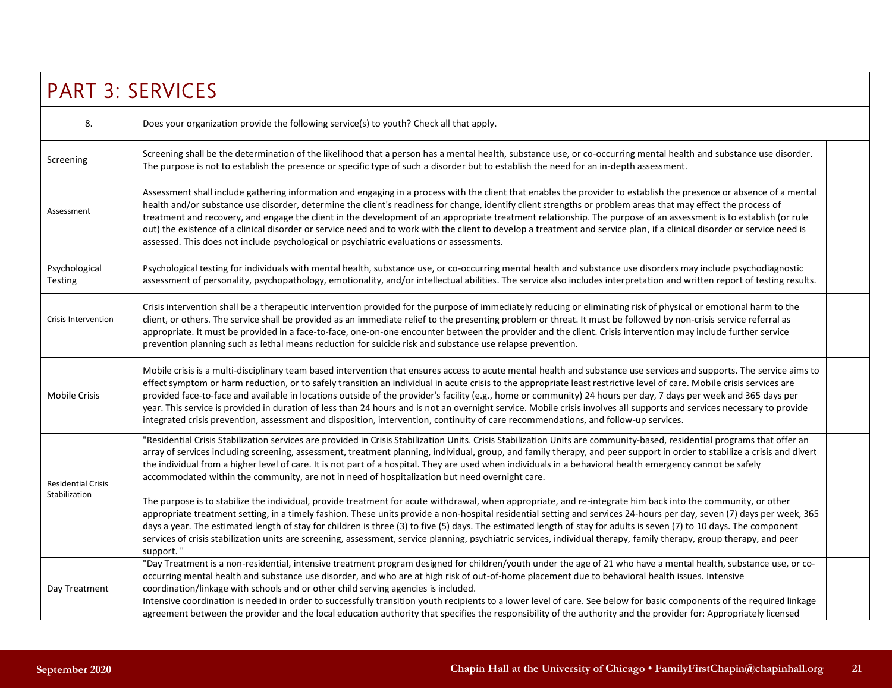| <b>PART 3: SERVICES</b>                    |                                                                                                                                                                                                                                                                                                                                                                                                                                                                                                                                                                                                                                                                                                                                                                                                                                       |  |  |
|--------------------------------------------|---------------------------------------------------------------------------------------------------------------------------------------------------------------------------------------------------------------------------------------------------------------------------------------------------------------------------------------------------------------------------------------------------------------------------------------------------------------------------------------------------------------------------------------------------------------------------------------------------------------------------------------------------------------------------------------------------------------------------------------------------------------------------------------------------------------------------------------|--|--|
| 8.                                         | Does your organization provide the following service(s) to youth? Check all that apply.                                                                                                                                                                                                                                                                                                                                                                                                                                                                                                                                                                                                                                                                                                                                               |  |  |
| Screening                                  | Screening shall be the determination of the likelihood that a person has a mental health, substance use, or co-occurring mental health and substance use disorder.<br>The purpose is not to establish the presence or specific type of such a disorder but to establish the need for an in-depth assessment.                                                                                                                                                                                                                                                                                                                                                                                                                                                                                                                          |  |  |
| Assessment                                 | Assessment shall include gathering information and engaging in a process with the client that enables the provider to establish the presence or absence of a mental<br>health and/or substance use disorder, determine the client's readiness for change, identify client strengths or problem areas that may effect the process of<br>treatment and recovery, and engage the client in the development of an appropriate treatment relationship. The purpose of an assessment is to establish (or rule<br>out) the existence of a clinical disorder or service need and to work with the client to develop a treatment and service plan, if a clinical disorder or service need is<br>assessed. This does not include psychological or psychiatric evaluations or assessments.                                                       |  |  |
| Psychological<br><b>Testing</b>            | Psychological testing for individuals with mental health, substance use, or co-occurring mental health and substance use disorders may include psychodiagnostic<br>assessment of personality, psychopathology, emotionality, and/or intellectual abilities. The service also includes interpretation and written report of testing results.                                                                                                                                                                                                                                                                                                                                                                                                                                                                                           |  |  |
| <b>Crisis Intervention</b>                 | Crisis intervention shall be a therapeutic intervention provided for the purpose of immediately reducing or eliminating risk of physical or emotional harm to the<br>client, or others. The service shall be provided as an immediate relief to the presenting problem or threat. It must be followed by non-crisis service referral as<br>appropriate. It must be provided in a face-to-face, one-on-one encounter between the provider and the client. Crisis intervention may include further service<br>prevention planning such as lethal means reduction for suicide risk and substance use relapse prevention.                                                                                                                                                                                                                 |  |  |
| <b>Mobile Crisis</b>                       | Mobile crisis is a multi-disciplinary team based intervention that ensures access to acute mental health and substance use services and supports. The service aims to<br>effect symptom or harm reduction, or to safely transition an individual in acute crisis to the appropriate least restrictive level of care. Mobile crisis services are<br>provided face-to-face and available in locations outside of the provider's facility (e.g., home or community) 24 hours per day, 7 days per week and 365 days per<br>year. This service is provided in duration of less than 24 hours and is not an overnight service. Mobile crisis involves all supports and services necessary to provide<br>integrated crisis prevention, assessment and disposition, intervention, continuity of care recommendations, and follow-up services. |  |  |
| <b>Residential Crisis</b><br>Stabilization | "Residential Crisis Stabilization services are provided in Crisis Stabilization Units. Crisis Stabilization Units are community-based, residential programs that offer an<br>array of services including screening, assessment, treatment planning, individual, group, and family therapy, and peer support in order to stabilize a crisis and divert<br>the individual from a higher level of care. It is not part of a hospital. They are used when individuals in a behavioral health emergency cannot be safely<br>accommodated within the community, are not in need of hospitalization but need overnight care.<br>The purpose is to stabilize the individual, provide treatment for acute withdrawal, when appropriate, and re-integrate him back into the community, or other                                                 |  |  |
|                                            | appropriate treatment setting, in a timely fashion. These units provide a non-hospital residential setting and services 24-hours per day, seven (7) days per week, 365<br>days a year. The estimated length of stay for children is three (3) to five (5) days. The estimated length of stay for adults is seven (7) to 10 days. The component<br>services of crisis stabilization units are screening, assessment, service planning, psychiatric services, individual therapy, family therapy, group therapy, and peer<br>support."                                                                                                                                                                                                                                                                                                  |  |  |
| Day Treatment                              | "Day Treatment is a non-residential, intensive treatment program designed for children/youth under the age of 21 who have a mental health, substance use, or co-<br>occurring mental health and substance use disorder, and who are at high risk of out-of-home placement due to behavioral health issues. Intensive<br>coordination/linkage with schools and or other child serving agencies is included.<br>Intensive coordination is needed in order to successfully transition youth recipients to a lower level of care. See below for basic components of the required linkage<br>agreement between the provider and the local education authority that specifies the responsibility of the authority and the provider for: Appropriately licensed                                                                              |  |  |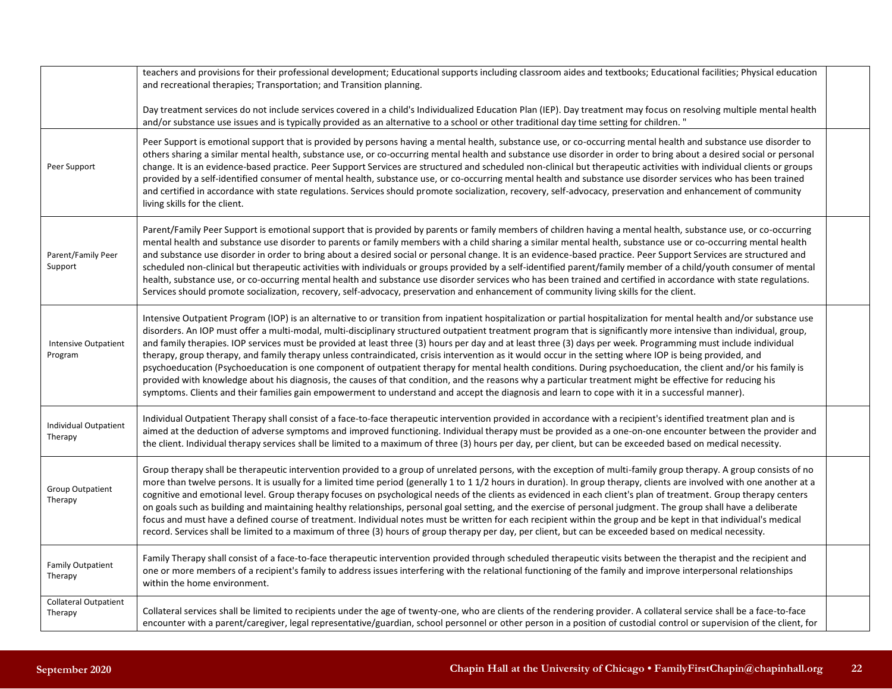|                                         | teachers and provisions for their professional development; Educational supports including classroom aides and textbooks; Educational facilities; Physical education<br>and recreational therapies; Transportation; and Transition planning.                                                                                                                                                                                                                                                                                                                                                                                                                                                                                                                                                                                                                                                                                                                                                                                                                                                                                                                 |  |
|-----------------------------------------|--------------------------------------------------------------------------------------------------------------------------------------------------------------------------------------------------------------------------------------------------------------------------------------------------------------------------------------------------------------------------------------------------------------------------------------------------------------------------------------------------------------------------------------------------------------------------------------------------------------------------------------------------------------------------------------------------------------------------------------------------------------------------------------------------------------------------------------------------------------------------------------------------------------------------------------------------------------------------------------------------------------------------------------------------------------------------------------------------------------------------------------------------------------|--|
|                                         | Day treatment services do not include services covered in a child's Individualized Education Plan (IEP). Day treatment may focus on resolving multiple mental health<br>and/or substance use issues and is typically provided as an alternative to a school or other traditional day time setting for children."                                                                                                                                                                                                                                                                                                                                                                                                                                                                                                                                                                                                                                                                                                                                                                                                                                             |  |
| Peer Support                            | Peer Support is emotional support that is provided by persons having a mental health, substance use, or co-occurring mental health and substance use disorder to<br>others sharing a similar mental health, substance use, or co-occurring mental health and substance use disorder in order to bring about a desired social or personal<br>change. It is an evidence-based practice. Peer Support Services are structured and scheduled non-clinical but therapeutic activities with individual clients or groups<br>provided by a self-identified consumer of mental health, substance use, or co-occurring mental health and substance use disorder services who has been trained<br>and certified in accordance with state regulations. Services should promote socialization, recovery, self-advocacy, preservation and enhancement of community<br>living skills for the client.                                                                                                                                                                                                                                                                       |  |
| Parent/Family Peer<br>Support           | Parent/Family Peer Support is emotional support that is provided by parents or family members of children having a mental health, substance use, or co-occurring<br>mental health and substance use disorder to parents or family members with a child sharing a similar mental health, substance use or co-occurring mental health<br>and substance use disorder in order to bring about a desired social or personal change. It is an evidence-based practice. Peer Support Services are structured and<br>scheduled non-clinical but therapeutic activities with individuals or groups provided by a self-identified parent/family member of a child/youth consumer of mental<br>health, substance use, or co-occurring mental health and substance use disorder services who has been trained and certified in accordance with state regulations.<br>Services should promote socialization, recovery, self-advocacy, preservation and enhancement of community living skills for the client.                                                                                                                                                             |  |
| Intensive Outpatient<br>Program         | Intensive Outpatient Program (IOP) is an alternative to or transition from inpatient hospitalization or partial hospitalization for mental health and/or substance use<br>disorders. An IOP must offer a multi-modal, multi-disciplinary structured outpatient treatment program that is significantly more intensive than individual, group,<br>and family therapies. IOP services must be provided at least three (3) hours per day and at least three (3) days per week. Programming must include individual<br>therapy, group therapy, and family therapy unless contraindicated, crisis intervention as it would occur in the setting where IOP is being provided, and<br>psychoeducation (Psychoeducation is one component of outpatient therapy for mental health conditions. During psychoeducation, the client and/or his family is<br>provided with knowledge about his diagnosis, the causes of that condition, and the reasons why a particular treatment might be effective for reducing his<br>symptoms. Clients and their families gain empowerment to understand and accept the diagnosis and learn to cope with it in a successful manner). |  |
| <b>Individual Outpatient</b><br>Therapy | Individual Outpatient Therapy shall consist of a face-to-face therapeutic intervention provided in accordance with a recipient's identified treatment plan and is<br>aimed at the deduction of adverse symptoms and improved functioning. Individual therapy must be provided as a one-on-one encounter between the provider and<br>the client. Individual therapy services shall be limited to a maximum of three (3) hours per day, per client, but can be exceeded based on medical necessity.                                                                                                                                                                                                                                                                                                                                                                                                                                                                                                                                                                                                                                                            |  |
| <b>Group Outpatient</b><br>Therapy      | Group therapy shall be therapeutic intervention provided to a group of unrelated persons, with the exception of multi-family group therapy. A group consists of no<br>more than twelve persons. It is usually for a limited time period (generally 1 to 11/2 hours in duration). In group therapy, clients are involved with one another at a<br>cognitive and emotional level. Group therapy focuses on psychological needs of the clients as evidenced in each client's plan of treatment. Group therapy centers<br>on goals such as building and maintaining healthy relationships, personal goal setting, and the exercise of personal judgment. The group shall have a deliberate<br>focus and must have a defined course of treatment. Individual notes must be written for each recipient within the group and be kept in that individual's medical<br>record. Services shall be limited to a maximum of three (3) hours of group therapy per day, per client, but can be exceeded based on medical necessity.                                                                                                                                        |  |
| <b>Family Outpatient</b><br>Therapy     | Family Therapy shall consist of a face-to-face therapeutic intervention provided through scheduled therapeutic visits between the therapist and the recipient and<br>one or more members of a recipient's family to address issues interfering with the relational functioning of the family and improve interpersonal relationships<br>within the home environment.                                                                                                                                                                                                                                                                                                                                                                                                                                                                                                                                                                                                                                                                                                                                                                                         |  |
| <b>Collateral Outpatient</b><br>Therapy | Collateral services shall be limited to recipients under the age of twenty-one, who are clients of the rendering provider. A collateral service shall be a face-to-face<br>encounter with a parent/caregiver, legal representative/guardian, school personnel or other person in a position of custodial control or supervision of the client, for                                                                                                                                                                                                                                                                                                                                                                                                                                                                                                                                                                                                                                                                                                                                                                                                           |  |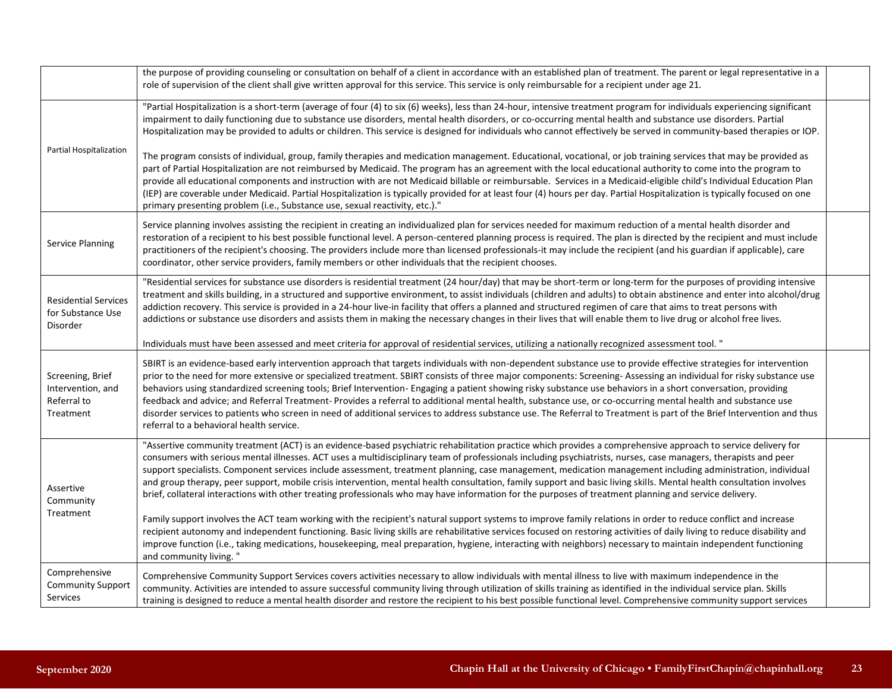|                                                                   | the purpose of providing counseling or consultation on behalf of a client in accordance with an established plan of treatment. The parent or legal representative in a<br>role of supervision of the client shall give written approval for this service. This service is only reimbursable for a recipient under age 21.                                                                                                                                                                                                                                                                                                                                                                                                                                                                                                                                                                                                                                                                                                                                                                                                                                                                                                                                                                                                                         |
|-------------------------------------------------------------------|---------------------------------------------------------------------------------------------------------------------------------------------------------------------------------------------------------------------------------------------------------------------------------------------------------------------------------------------------------------------------------------------------------------------------------------------------------------------------------------------------------------------------------------------------------------------------------------------------------------------------------------------------------------------------------------------------------------------------------------------------------------------------------------------------------------------------------------------------------------------------------------------------------------------------------------------------------------------------------------------------------------------------------------------------------------------------------------------------------------------------------------------------------------------------------------------------------------------------------------------------------------------------------------------------------------------------------------------------|
| Partial Hospitalization                                           | "Partial Hospitalization is a short-term (average of four (4) to six (6) weeks), less than 24-hour, intensive treatment program for individuals experiencing significant<br>impairment to daily functioning due to substance use disorders, mental health disorders, or co-occurring mental health and substance use disorders. Partial<br>Hospitalization may be provided to adults or children. This service is designed for individuals who cannot effectively be served in community-based therapies or IOP.<br>The program consists of individual, group, family therapies and medication management. Educational, vocational, or job training services that may be provided as<br>part of Partial Hospitalization are not reimbursed by Medicaid. The program has an agreement with the local educational authority to come into the program to<br>provide all educational components and instruction with are not Medicaid billable or reimbursable. Services in a Medicaid-eligible child's Individual Education Plan<br>(IEP) are coverable under Medicaid. Partial Hospitalization is typically provided for at least four (4) hours per day. Partial Hospitalization is typically focused on one                                                                                                                                       |
| Service Planning                                                  | primary presenting problem (i.e., Substance use, sexual reactivity, etc.)."<br>Service planning involves assisting the recipient in creating an individualized plan for services needed for maximum reduction of a mental health disorder and<br>restoration of a recipient to his best possible functional level. A person-centered planning process is required. The plan is directed by the recipient and must include<br>practitioners of the recipient's choosing. The providers include more than licensed professionals-it may include the recipient (and his guardian if applicable), care<br>coordinator, other service providers, family members or other individuals that the recipient chooses.                                                                                                                                                                                                                                                                                                                                                                                                                                                                                                                                                                                                                                       |
| <b>Residential Services</b><br>for Substance Use<br>Disorder      | "Residential services for substance use disorders is residential treatment (24 hour/day) that may be short-term or long-term for the purposes of providing intensive<br>treatment and skills building, in a structured and supportive environment, to assist individuals (children and adults) to obtain abstinence and enter into alcohol/drug<br>addiction recovery. This service is provided in a 24-hour live-in facility that offers a planned and structured regimen of care that aims to treat persons with<br>addictions or substance use disorders and assists them in making the necessary changes in their lives that will enable them to live drug or alcohol free lives.                                                                                                                                                                                                                                                                                                                                                                                                                                                                                                                                                                                                                                                             |
|                                                                   | Individuals must have been assessed and meet criteria for approval of residential services, utilizing a nationally recognized assessment tool. "                                                                                                                                                                                                                                                                                                                                                                                                                                                                                                                                                                                                                                                                                                                                                                                                                                                                                                                                                                                                                                                                                                                                                                                                  |
| Screening, Brief<br>Intervention, and<br>Referral to<br>Treatment | SBIRT is an evidence-based early intervention approach that targets individuals with non-dependent substance use to provide effective strategies for intervention<br>prior to the need for more extensive or specialized treatment. SBIRT consists of three major components: Screening-Assessing an individual for risky substance use<br>behaviors using standardized screening tools; Brief Intervention- Engaging a patient showing risky substance use behaviors in a short conversation, providing<br>feedback and advice; and Referral Treatment- Provides a referral to additional mental health, substance use, or co-occurring mental health and substance use<br>disorder services to patients who screen in need of additional services to address substance use. The Referral to Treatment is part of the Brief Intervention and thus<br>referral to a behavioral health service.                                                                                                                                                                                                                                                                                                                                                                                                                                                    |
| Assertive<br>Community<br>Treatment                               | "Assertive community treatment (ACT) is an evidence-based psychiatric rehabilitation practice which provides a comprehensive approach to service delivery for<br>consumers with serious mental illnesses. ACT uses a multidisciplinary team of professionals including psychiatrists, nurses, case managers, therapists and peer<br>support specialists. Component services include assessment, treatment planning, case management, medication management including administration, individual<br>and group therapy, peer support, mobile crisis intervention, mental health consultation, family support and basic living skills. Mental health consultation involves<br>brief, collateral interactions with other treating professionals who may have information for the purposes of treatment planning and service delivery.<br>Family support involves the ACT team working with the recipient's natural support systems to improve family relations in order to reduce conflict and increase<br>recipient autonomy and independent functioning. Basic living skills are rehabilitative services focused on restoring activities of daily living to reduce disability and<br>improve function (i.e., taking medications, housekeeping, meal preparation, hygiene, interacting with neighbors) necessary to maintain independent functioning |
|                                                                   | and community living."                                                                                                                                                                                                                                                                                                                                                                                                                                                                                                                                                                                                                                                                                                                                                                                                                                                                                                                                                                                                                                                                                                                                                                                                                                                                                                                            |
| Comprehensive<br><b>Community Support</b><br>Services             | Comprehensive Community Support Services covers activities necessary to allow individuals with mental illness to live with maximum independence in the<br>community. Activities are intended to assure successful community living through utilization of skills training as identified in the individual service plan. Skills<br>training is designed to reduce a mental health disorder and restore the recipient to his best possible functional level. Comprehensive community support services                                                                                                                                                                                                                                                                                                                                                                                                                                                                                                                                                                                                                                                                                                                                                                                                                                               |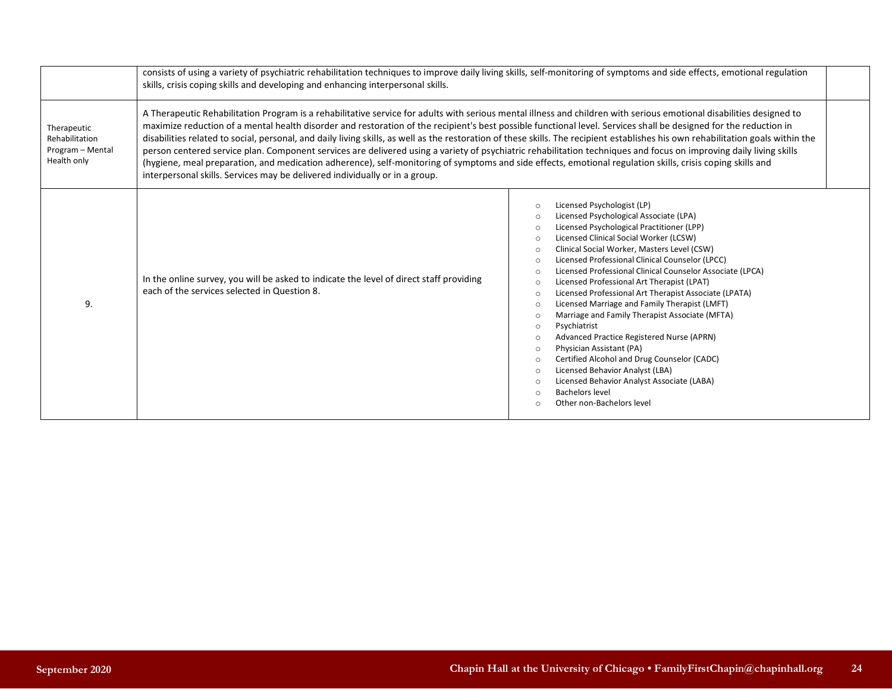|                                                                  | consists of using a variety of psychiatric rehabilitation techniques to improve daily living skills, self-monitoring of symptoms and side effects, emotional regulation<br>skills, crisis coping skills and developing and enhancing interpersonal skills.                                                                                                                                                                                                                                                                                                                                                                                                                                                                                                                                                                                                                                                                                       |                                                                                                                                                                                                                                                                                                                                                                                                                                                                                                                                                                                                                                                                                                                                                                                                                                                                                                                                                                                                                                 |  |  |
|------------------------------------------------------------------|--------------------------------------------------------------------------------------------------------------------------------------------------------------------------------------------------------------------------------------------------------------------------------------------------------------------------------------------------------------------------------------------------------------------------------------------------------------------------------------------------------------------------------------------------------------------------------------------------------------------------------------------------------------------------------------------------------------------------------------------------------------------------------------------------------------------------------------------------------------------------------------------------------------------------------------------------|---------------------------------------------------------------------------------------------------------------------------------------------------------------------------------------------------------------------------------------------------------------------------------------------------------------------------------------------------------------------------------------------------------------------------------------------------------------------------------------------------------------------------------------------------------------------------------------------------------------------------------------------------------------------------------------------------------------------------------------------------------------------------------------------------------------------------------------------------------------------------------------------------------------------------------------------------------------------------------------------------------------------------------|--|--|
| Therapeutic<br>Rehabilitation<br>Program - Mental<br>Health only | A Therapeutic Rehabilitation Program is a rehabilitative service for adults with serious mental illness and children with serious emotional disabilities designed to<br>maximize reduction of a mental health disorder and restoration of the recipient's best possible functional level. Services shall be designed for the reduction in<br>disabilities related to social, personal, and daily living skills, as well as the restoration of these skills. The recipient establishes his own rehabilitation goals within the<br>person centered service plan. Component services are delivered using a variety of psychiatric rehabilitation techniques and focus on improving daily living skills<br>(hygiene, meal preparation, and medication adherence), self-monitoring of symptoms and side effects, emotional regulation skills, crisis coping skills and<br>interpersonal skills. Services may be delivered individually or in a group. |                                                                                                                                                                                                                                                                                                                                                                                                                                                                                                                                                                                                                                                                                                                                                                                                                                                                                                                                                                                                                                 |  |  |
| 9.                                                               | In the online survey, you will be asked to indicate the level of direct staff providing<br>each of the services selected in Question 8.                                                                                                                                                                                                                                                                                                                                                                                                                                                                                                                                                                                                                                                                                                                                                                                                          | Licensed Psychologist (LP)<br>$\circ$<br>Licensed Psychological Associate (LPA)<br>$\circ$<br>Licensed Psychological Practitioner (LPP)<br>$\circ$<br>Licensed Clinical Social Worker (LCSW)<br>$\circ$<br>Clinical Social Worker, Masters Level (CSW)<br>$\circ$<br>Licensed Professional Clinical Counselor (LPCC)<br>$\circ$<br>Licensed Professional Clinical Counselor Associate (LPCA)<br>$\circ$<br>Licensed Professional Art Therapist (LPAT)<br>$\circ$<br>Licensed Professional Art Therapist Associate (LPATA)<br>$\circ$<br>Licensed Marriage and Family Therapist (LMFT)<br>$\circ$<br>Marriage and Family Therapist Associate (MFTA)<br>$\circ$<br>Psychiatrist<br>$\circ$<br>Advanced Practice Registered Nurse (APRN)<br>$\circ$<br>Physician Assistant (PA)<br>$\circ$<br>Certified Alcohol and Drug Counselor (CADC)<br>$\circ$<br>Licensed Behavior Analyst (LBA)<br>$\circ$<br>Licensed Behavior Analyst Associate (LABA)<br>$\circ$<br>Bachelors level<br>$\circ$<br>Other non-Bachelors level<br>$\Omega$ |  |  |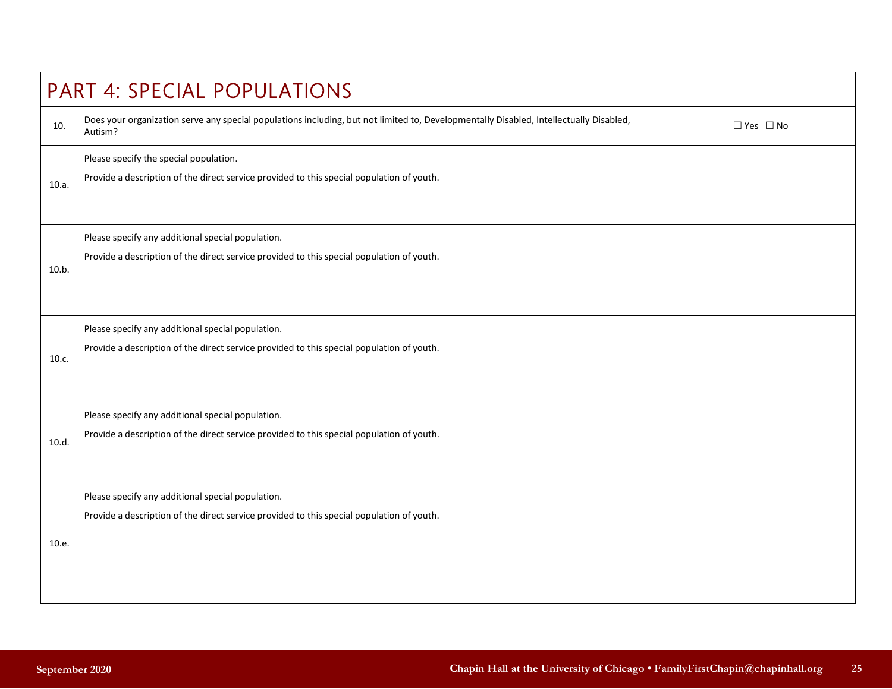| PART 4: SPECIAL POPULATIONS |                                                                                                                                                   |                      |  |
|-----------------------------|---------------------------------------------------------------------------------------------------------------------------------------------------|----------------------|--|
| 10.                         | Does your organization serve any special populations including, but not limited to, Developmentally Disabled, Intellectually Disabled,<br>Autism? | $\Box$ Yes $\Box$ No |  |
| 10.a.                       | Please specify the special population.<br>Provide a description of the direct service provided to this special population of youth.               |                      |  |
| 10.b.                       | Please specify any additional special population.<br>Provide a description of the direct service provided to this special population of youth.    |                      |  |
| 10.c.                       | Please specify any additional special population.<br>Provide a description of the direct service provided to this special population of youth.    |                      |  |
| 10.d.                       | Please specify any additional special population.<br>Provide a description of the direct service provided to this special population of youth.    |                      |  |
| 10.e.                       | Please specify any additional special population.<br>Provide a description of the direct service provided to this special population of youth.    |                      |  |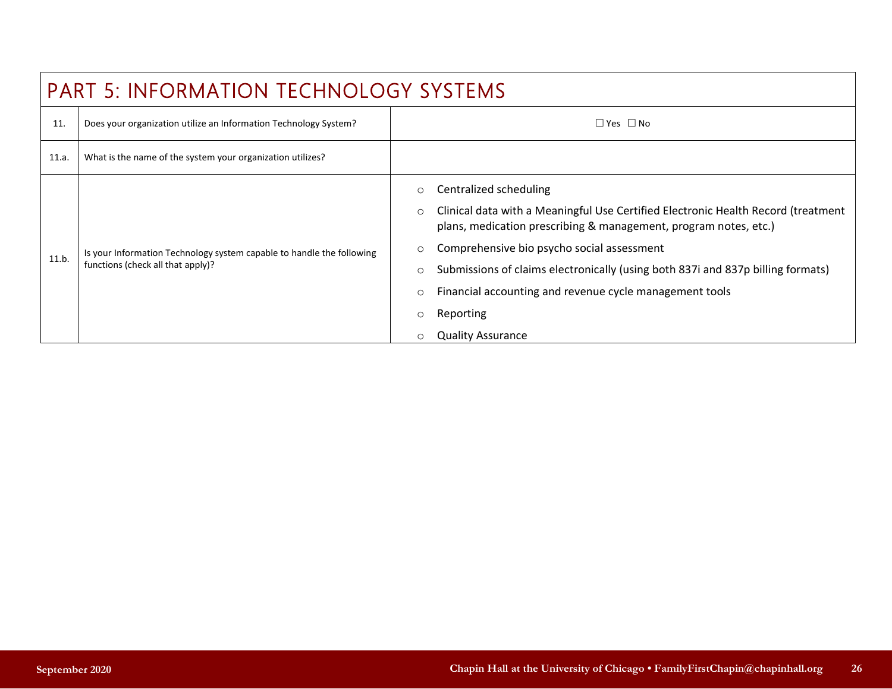| <b>PART 5: INFORMATION TECHNOLOGY SYSTEMS</b> |                                                                                                            |                                                                                                                                                                                                                                                   |  |  |
|-----------------------------------------------|------------------------------------------------------------------------------------------------------------|---------------------------------------------------------------------------------------------------------------------------------------------------------------------------------------------------------------------------------------------------|--|--|
| 11.                                           | Does your organization utilize an Information Technology System?                                           | $\square$ Yes $\square$ No                                                                                                                                                                                                                        |  |  |
| 11.a.                                         | What is the name of the system your organization utilizes?                                                 |                                                                                                                                                                                                                                                   |  |  |
| 11.b.                                         | Is your Information Technology system capable to handle the following<br>functions (check all that apply)? | Centralized scheduling<br>$\circ$<br>Clinical data with a Meaningful Use Certified Electronic Health Record (treatment<br>$\circ$<br>plans, medication prescribing & management, program notes, etc.)                                             |  |  |
|                                               |                                                                                                            | Comprehensive bio psycho social assessment<br>$\circ$<br>Submissions of claims electronically (using both 837i and 837p billing formats)<br>$\circ$<br>Financial accounting and revenue cycle management tools<br>$\circ$<br>Reporting<br>$\circ$ |  |  |
|                                               |                                                                                                            | <b>Quality Assurance</b>                                                                                                                                                                                                                          |  |  |